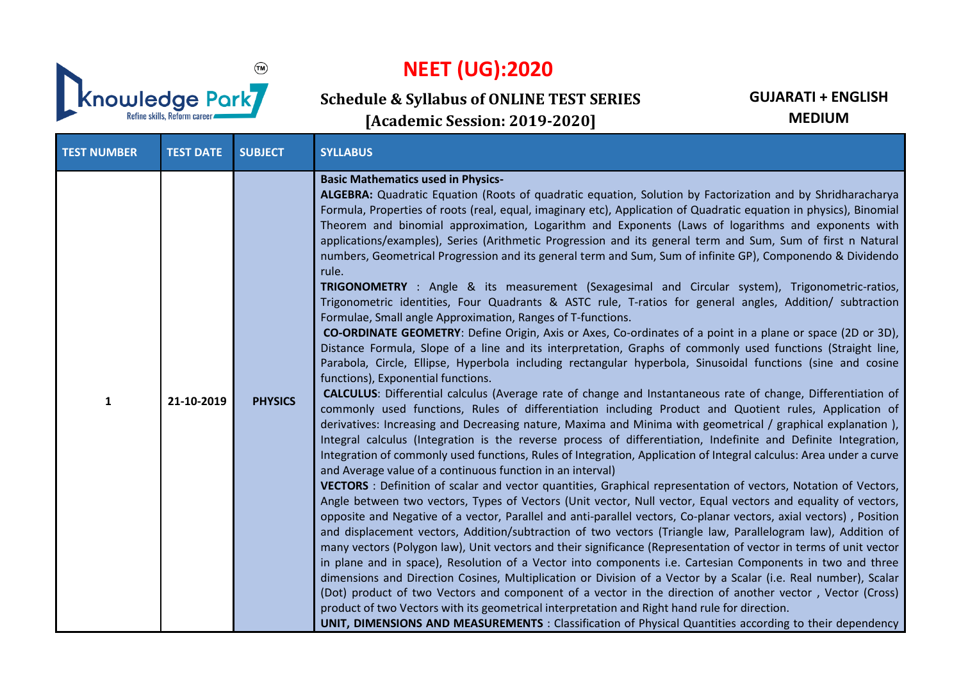

## **NEET (UG):2020**

**Schedule & Syllabus of ONLINE TEST SERIES [Academic Session: 2019-2020]**

**GUJARATI + ENGLISH MEDIUM**

| <b>TEST NUMBER</b> | <b>TEST DATE</b> | <b>SUBJECT</b> | <b>SYLLABUS</b>                                                                                                                                                                                                                                                                                                                                                                                                                                                                                                                                                                                                                                                                                                                                                                                                                                                                                                                                                                                                                                                                                                                                                                                                                                                                                                                                                                                                                                                                                                                                                                                                                                                                                                                                                                                                                                                                                                                                                                                                                                                                                                                                                                                                                                                                                                                                                                                                                                                                                                                                                                                                                                                                                                                                                                                                                                                                                                                                                                                                                                                                                                       |
|--------------------|------------------|----------------|-----------------------------------------------------------------------------------------------------------------------------------------------------------------------------------------------------------------------------------------------------------------------------------------------------------------------------------------------------------------------------------------------------------------------------------------------------------------------------------------------------------------------------------------------------------------------------------------------------------------------------------------------------------------------------------------------------------------------------------------------------------------------------------------------------------------------------------------------------------------------------------------------------------------------------------------------------------------------------------------------------------------------------------------------------------------------------------------------------------------------------------------------------------------------------------------------------------------------------------------------------------------------------------------------------------------------------------------------------------------------------------------------------------------------------------------------------------------------------------------------------------------------------------------------------------------------------------------------------------------------------------------------------------------------------------------------------------------------------------------------------------------------------------------------------------------------------------------------------------------------------------------------------------------------------------------------------------------------------------------------------------------------------------------------------------------------------------------------------------------------------------------------------------------------------------------------------------------------------------------------------------------------------------------------------------------------------------------------------------------------------------------------------------------------------------------------------------------------------------------------------------------------------------------------------------------------------------------------------------------------------------------------------------------------------------------------------------------------------------------------------------------------------------------------------------------------------------------------------------------------------------------------------------------------------------------------------------------------------------------------------------------------------------------------------------------------------------------------------------------------|
| $\mathbf 1$        | 21-10-2019       | <b>PHYSICS</b> | <b>Basic Mathematics used in Physics-</b><br>ALGEBRA: Quadratic Equation (Roots of quadratic equation, Solution by Factorization and by Shridharacharya<br>Formula, Properties of roots (real, equal, imaginary etc), Application of Quadratic equation in physics), Binomial<br>Theorem and binomial approximation, Logarithm and Exponents (Laws of logarithms and exponents with<br>applications/examples), Series (Arithmetic Progression and its general term and Sum, Sum of first n Natural<br>numbers, Geometrical Progression and its general term and Sum, Sum of infinite GP), Componendo & Dividendo<br>rule.<br>TRIGONOMETRY : Angle & its measurement (Sexagesimal and Circular system), Trigonometric-ratios,<br>Trigonometric identities, Four Quadrants & ASTC rule, T-ratios for general angles, Addition/ subtraction<br>Formulae, Small angle Approximation, Ranges of T-functions.<br><b>CO-ORDINATE GEOMETRY:</b> Define Origin, Axis or Axes, Co-ordinates of a point in a plane or space (2D or 3D),<br>Distance Formula, Slope of a line and its interpretation, Graphs of commonly used functions (Straight line,<br>Parabola, Circle, Ellipse, Hyperbola including rectangular hyperbola, Sinusoidal functions (sine and cosine<br>functions), Exponential functions.<br><b>CALCULUS:</b> Differential calculus (Average rate of change and Instantaneous rate of change, Differentiation of<br>commonly used functions, Rules of differentiation including Product and Quotient rules, Application of<br>derivatives: Increasing and Decreasing nature, Maxima and Minima with geometrical / graphical explanation),<br>Integral calculus (Integration is the reverse process of differentiation, Indefinite and Definite Integration,<br>Integration of commonly used functions, Rules of Integration, Application of Integral calculus: Area under a curve<br>and Average value of a continuous function in an interval)<br>VECTORS : Definition of scalar and vector quantities, Graphical representation of vectors, Notation of Vectors,<br>Angle between two vectors, Types of Vectors (Unit vector, Null vector, Equal vectors and equality of vectors,<br>opposite and Negative of a vector, Parallel and anti-parallel vectors, Co-planar vectors, axial vectors), Position<br>and displacement vectors, Addition/subtraction of two vectors (Triangle law, Parallelogram law), Addition of<br>many vectors (Polygon law), Unit vectors and their significance (Representation of vector in terms of unit vector<br>in plane and in space), Resolution of a Vector into components i.e. Cartesian Components in two and three<br>dimensions and Direction Cosines, Multiplication or Division of a Vector by a Scalar (i.e. Real number), Scalar<br>(Dot) product of two Vectors and component of a vector in the direction of another vector, Vector (Cross)<br>product of two Vectors with its geometrical interpretation and Right hand rule for direction.<br><b>UNIT, DIMENSIONS AND MEASUREMENTS</b> : Classification of Physical Quantities according to their dependency |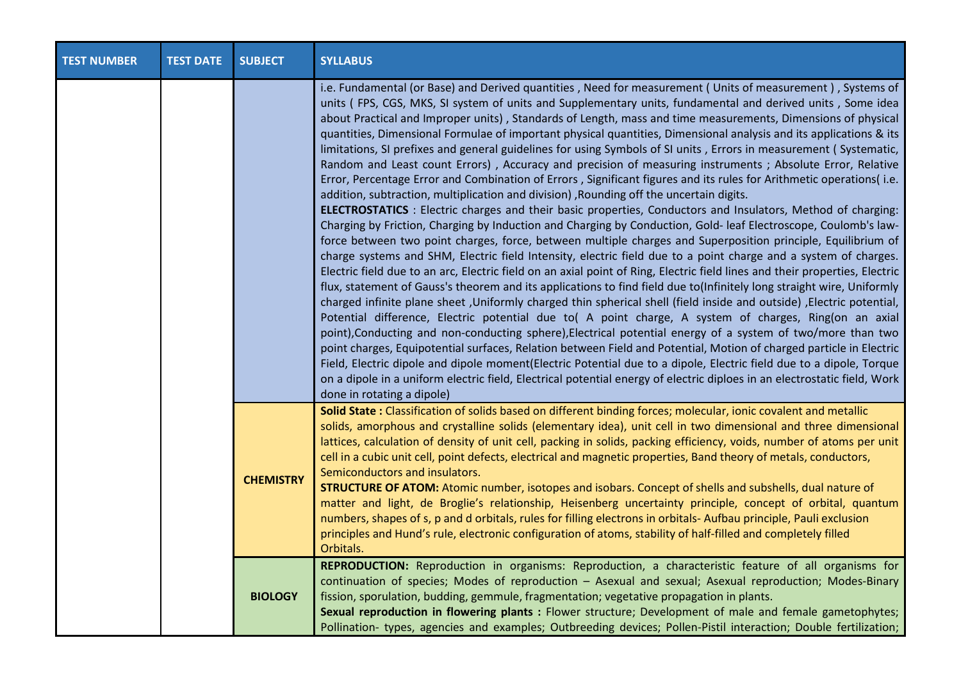| <b>TEST NUMBER</b> | <b>TEST DATE</b> | <b>SUBJECT</b>   | <b>SYLLABUS</b>                                                                                                                                                                                                                                                                                                                                                                                                                                                                                                                                                                                                                                                                                                                                                                                                                                                                                                                                                                                                                                                                                                                                                                                                                                                                                                                                                                                                                                                                                                                                                                                                                                                                                                                                                                                                                                                                                                                                                                                                                                                                                                                                                                                                                                                                                                                                                                                                    |
|--------------------|------------------|------------------|--------------------------------------------------------------------------------------------------------------------------------------------------------------------------------------------------------------------------------------------------------------------------------------------------------------------------------------------------------------------------------------------------------------------------------------------------------------------------------------------------------------------------------------------------------------------------------------------------------------------------------------------------------------------------------------------------------------------------------------------------------------------------------------------------------------------------------------------------------------------------------------------------------------------------------------------------------------------------------------------------------------------------------------------------------------------------------------------------------------------------------------------------------------------------------------------------------------------------------------------------------------------------------------------------------------------------------------------------------------------------------------------------------------------------------------------------------------------------------------------------------------------------------------------------------------------------------------------------------------------------------------------------------------------------------------------------------------------------------------------------------------------------------------------------------------------------------------------------------------------------------------------------------------------------------------------------------------------------------------------------------------------------------------------------------------------------------------------------------------------------------------------------------------------------------------------------------------------------------------------------------------------------------------------------------------------------------------------------------------------------------------------------------------------|
|                    |                  |                  | i.e. Fundamental (or Base) and Derived quantities, Need for measurement (Units of measurement), Systems of<br>units (FPS, CGS, MKS, SI system of units and Supplementary units, fundamental and derived units, Some idea<br>about Practical and Improper units), Standards of Length, mass and time measurements, Dimensions of physical<br>quantities, Dimensional Formulae of important physical quantities, Dimensional analysis and its applications & its<br>limitations, SI prefixes and general guidelines for using Symbols of SI units, Errors in measurement (Systematic,<br>Random and Least count Errors), Accuracy and precision of measuring instruments; Absolute Error, Relative<br>Error, Percentage Error and Combination of Errors, Significant figures and its rules for Arithmetic operations(i.e.<br>addition, subtraction, multiplication and division), Rounding off the uncertain digits.<br><b>ELECTROSTATICS</b> : Electric charges and their basic properties, Conductors and Insulators, Method of charging:<br>Charging by Friction, Charging by Induction and Charging by Conduction, Gold- leaf Electroscope, Coulomb's law-<br>force between two point charges, force, between multiple charges and Superposition principle, Equilibrium of<br>charge systems and SHM, Electric field Intensity, electric field due to a point charge and a system of charges.<br>Electric field due to an arc, Electric field on an axial point of Ring, Electric field lines and their properties, Electric<br>flux, statement of Gauss's theorem and its applications to find field due to(Infinitely long straight wire, Uniformly<br>charged infinite plane sheet , Uniformly charged thin spherical shell (field inside and outside) , Electric potential,<br>Potential difference, Electric potential due to( A point charge, A system of charges, Ring(on an axial<br>point), Conducting and non-conducting sphere), Electrical potential energy of a system of two/more than two<br>point charges, Equipotential surfaces, Relation between Field and Potential, Motion of charged particle in Electric<br>Field, Electric dipole and dipole moment(Electric Potential due to a dipole, Electric field due to a dipole, Torque<br>on a dipole in a uniform electric field, Electrical potential energy of electric diploes in an electrostatic field, Work<br>done in rotating a dipole) |
|                    |                  | <b>CHEMISTRY</b> | Solid State: Classification of solids based on different binding forces; molecular, ionic covalent and metallic<br>solids, amorphous and crystalline solids (elementary idea), unit cell in two dimensional and three dimensional<br>lattices, calculation of density of unit cell, packing in solids, packing efficiency, voids, number of atoms per unit<br>cell in a cubic unit cell, point defects, electrical and magnetic properties, Band theory of metals, conductors,<br>Semiconductors and insulators.<br>STRUCTURE OF ATOM: Atomic number, isotopes and isobars. Concept of shells and subshells, dual nature of<br>matter and light, de Broglie's relationship, Heisenberg uncertainty principle, concept of orbital, quantum<br>numbers, shapes of s, p and d orbitals, rules for filling electrons in orbitals- Aufbau principle, Pauli exclusion<br>principles and Hund's rule, electronic configuration of atoms, stability of half-filled and completely filled<br>Orbitals.                                                                                                                                                                                                                                                                                                                                                                                                                                                                                                                                                                                                                                                                                                                                                                                                                                                                                                                                                                                                                                                                                                                                                                                                                                                                                                                                                                                                                      |
|                    |                  | <b>BIOLOGY</b>   | REPRODUCTION: Reproduction in organisms: Reproduction, a characteristic feature of all organisms for<br>continuation of species; Modes of reproduction - Asexual and sexual; Asexual reproduction; Modes-Binary<br>fission, sporulation, budding, gemmule, fragmentation; vegetative propagation in plants.<br>Sexual reproduction in flowering plants : Flower structure; Development of male and female gametophytes;<br>Pollination- types, agencies and examples; Outbreeding devices; Pollen-Pistil interaction; Double fertilization;                                                                                                                                                                                                                                                                                                                                                                                                                                                                                                                                                                                                                                                                                                                                                                                                                                                                                                                                                                                                                                                                                                                                                                                                                                                                                                                                                                                                                                                                                                                                                                                                                                                                                                                                                                                                                                                                        |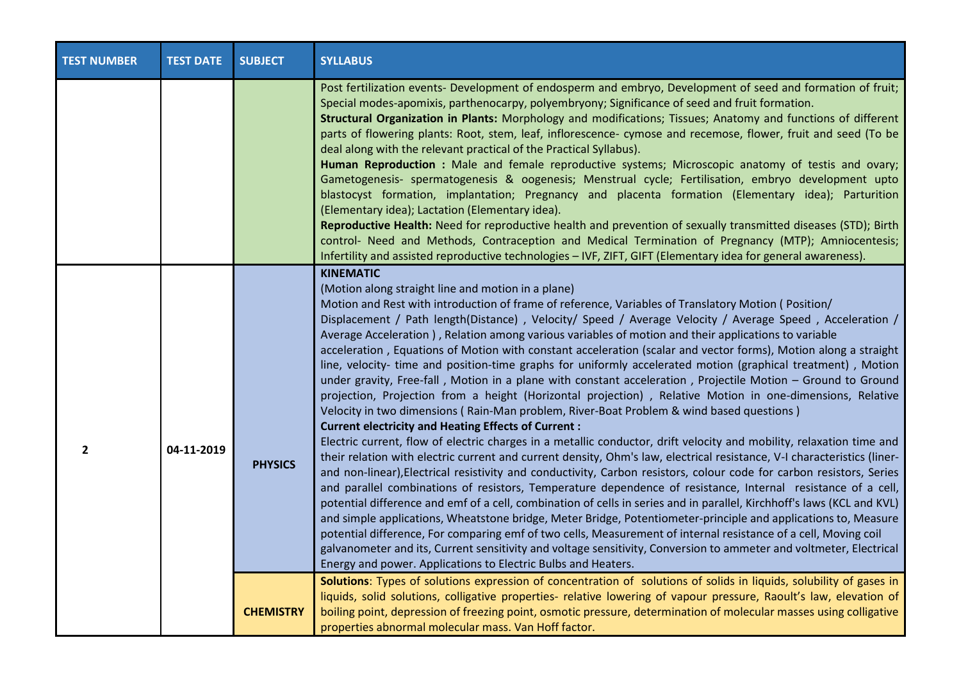| <b>TEST NUMBER</b> | <b>TEST DATE</b> | <b>SUBJECT</b>   | <b>SYLLABUS</b>                                                                                                                                                                                                                                                                                                                                                                                                                                                                                                                                                                                                                                                                                                                                                                                                                                                                                                                                                                                                                                                                                                                                                                                                                                                                                                                                                                                                                                                                                                                                                                                                                                                                                                                                                                                                                                                                                                                                                                                                                                                               |
|--------------------|------------------|------------------|-------------------------------------------------------------------------------------------------------------------------------------------------------------------------------------------------------------------------------------------------------------------------------------------------------------------------------------------------------------------------------------------------------------------------------------------------------------------------------------------------------------------------------------------------------------------------------------------------------------------------------------------------------------------------------------------------------------------------------------------------------------------------------------------------------------------------------------------------------------------------------------------------------------------------------------------------------------------------------------------------------------------------------------------------------------------------------------------------------------------------------------------------------------------------------------------------------------------------------------------------------------------------------------------------------------------------------------------------------------------------------------------------------------------------------------------------------------------------------------------------------------------------------------------------------------------------------------------------------------------------------------------------------------------------------------------------------------------------------------------------------------------------------------------------------------------------------------------------------------------------------------------------------------------------------------------------------------------------------------------------------------------------------------------------------------------------------|
|                    |                  |                  | Post fertilization events- Development of endosperm and embryo, Development of seed and formation of fruit;<br>Special modes-apomixis, parthenocarpy, polyembryony; Significance of seed and fruit formation.<br>Structural Organization in Plants: Morphology and modifications; Tissues; Anatomy and functions of different<br>parts of flowering plants: Root, stem, leaf, inflorescence- cymose and recemose, flower, fruit and seed (To be<br>deal along with the relevant practical of the Practical Syllabus).<br>Human Reproduction : Male and female reproductive systems; Microscopic anatomy of testis and ovary;<br>Gametogenesis- spermatogenesis & oogenesis; Menstrual cycle; Fertilisation, embryo development upto<br>blastocyst formation, implantation; Pregnancy and placenta formation (Elementary idea); Parturition<br>(Elementary idea); Lactation (Elementary idea).<br>Reproductive Health: Need for reproductive health and prevention of sexually transmitted diseases (STD); Birth<br>control- Need and Methods, Contraception and Medical Termination of Pregnancy (MTP); Amniocentesis;<br>Infertility and assisted reproductive technologies - IVF, ZIFT, GIFT (Elementary idea for general awareness).                                                                                                                                                                                                                                                                                                                                                                                                                                                                                                                                                                                                                                                                                                                                                                                                                                       |
| $\overline{2}$     | 04-11-2019       | <b>PHYSICS</b>   | <b>KINEMATIC</b><br>(Motion along straight line and motion in a plane)<br>Motion and Rest with introduction of frame of reference, Variables of Translatory Motion (Position/<br>Displacement / Path length(Distance), Velocity/ Speed / Average Velocity / Average Speed, Acceleration /<br>Average Acceleration), Relation among various variables of motion and their applications to variable<br>acceleration, Equations of Motion with constant acceleration (scalar and vector forms), Motion along a straight<br>line, velocity- time and position-time graphs for uniformly accelerated motion (graphical treatment), Motion<br>under gravity, Free-fall, Motion in a plane with constant acceleration, Projectile Motion - Ground to Ground<br>projection, Projection from a height (Horizontal projection) , Relative Motion in one-dimensions, Relative<br>Velocity in two dimensions (Rain-Man problem, River-Boat Problem & wind based questions)<br><b>Current electricity and Heating Effects of Current:</b><br>Electric current, flow of electric charges in a metallic conductor, drift velocity and mobility, relaxation time and<br>their relation with electric current and current density, Ohm's law, electrical resistance, V-I characteristics (liner-<br>and non-linear), Electrical resistivity and conductivity, Carbon resistors, colour code for carbon resistors, Series<br>and parallel combinations of resistors, Temperature dependence of resistance, Internal resistance of a cell,<br>potential difference and emf of a cell, combination of cells in series and in parallel, Kirchhoff's laws (KCL and KVL)<br>and simple applications, Wheatstone bridge, Meter Bridge, Potentiometer-principle and applications to, Measure<br>potential difference, For comparing emf of two cells, Measurement of internal resistance of a cell, Moving coil<br>galvanometer and its, Current sensitivity and voltage sensitivity, Conversion to ammeter and voltmeter, Electrical<br>Energy and power. Applications to Electric Bulbs and Heaters. |
|                    |                  | <b>CHEMISTRY</b> | Solutions: Types of solutions expression of concentration of solutions of solids in liquids, solubility of gases in<br>liquids, solid solutions, colligative properties- relative lowering of vapour pressure, Raoult's law, elevation of<br>boiling point, depression of freezing point, osmotic pressure, determination of molecular masses using colligative<br>properties abnormal molecular mass. Van Hoff factor.                                                                                                                                                                                                                                                                                                                                                                                                                                                                                                                                                                                                                                                                                                                                                                                                                                                                                                                                                                                                                                                                                                                                                                                                                                                                                                                                                                                                                                                                                                                                                                                                                                                       |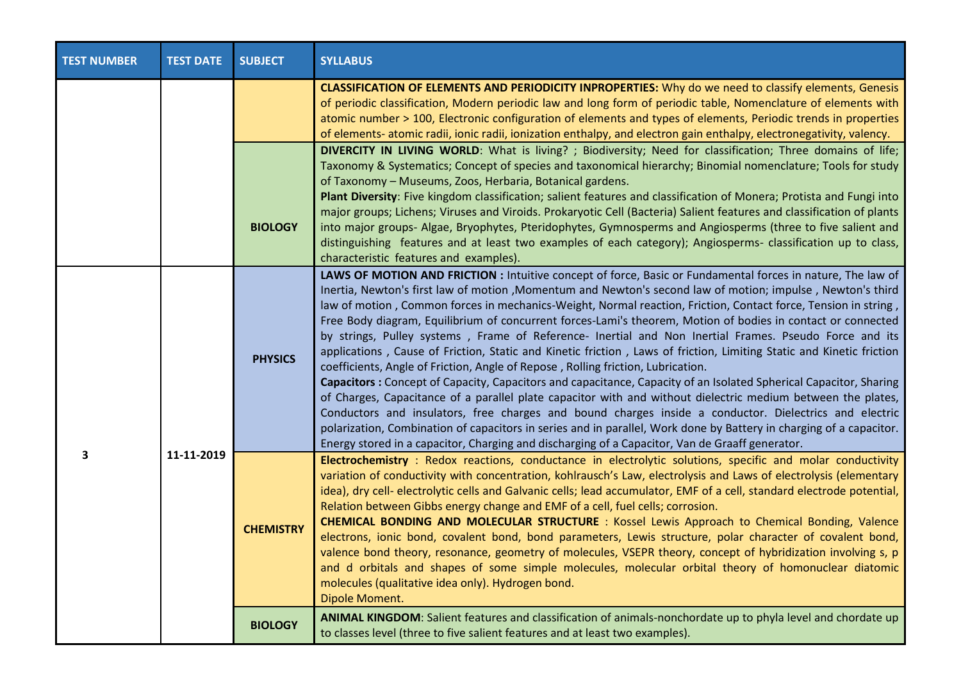| <b>TEST NUMBER</b> | <b>TEST DATE</b> | <b>SUBJECT</b>   | <b>SYLLABUS</b>                                                                                                                                                                                                                                                                                                                                                                                                                                                                                                                                                                                                                                                                                                                                                                                                                                                                                                                                                                                                                                                                                                                                                                                                                                                                                                                                              |
|--------------------|------------------|------------------|--------------------------------------------------------------------------------------------------------------------------------------------------------------------------------------------------------------------------------------------------------------------------------------------------------------------------------------------------------------------------------------------------------------------------------------------------------------------------------------------------------------------------------------------------------------------------------------------------------------------------------------------------------------------------------------------------------------------------------------------------------------------------------------------------------------------------------------------------------------------------------------------------------------------------------------------------------------------------------------------------------------------------------------------------------------------------------------------------------------------------------------------------------------------------------------------------------------------------------------------------------------------------------------------------------------------------------------------------------------|
|                    |                  |                  | <b>CLASSIFICATION OF ELEMENTS AND PERIODICITY INPROPERTIES:</b> Why do we need to classify elements, Genesis<br>of periodic classification, Modern periodic law and long form of periodic table, Nomenclature of elements with<br>atomic number > 100, Electronic configuration of elements and types of elements, Periodic trends in properties<br>of elements-atomic radii, ionic radii, ionization enthalpy, and electron gain enthalpy, electronegativity, valency.                                                                                                                                                                                                                                                                                                                                                                                                                                                                                                                                                                                                                                                                                                                                                                                                                                                                                      |
|                    |                  | <b>BIOLOGY</b>   | DIVERCITY IN LIVING WORLD: What is living? ; Biodiversity; Need for classification; Three domains of life;<br>Taxonomy & Systematics; Concept of species and taxonomical hierarchy; Binomial nomenclature; Tools for study<br>of Taxonomy - Museums, Zoos, Herbaria, Botanical gardens.<br>Plant Diversity: Five kingdom classification; salient features and classification of Monera; Protista and Fungi into<br>major groups; Lichens; Viruses and Viroids. Prokaryotic Cell (Bacteria) Salient features and classification of plants<br>into major groups- Algae, Bryophytes, Pteridophytes, Gymnosperms and Angiosperms (three to five salient and<br>distinguishing features and at least two examples of each category); Angiosperms- classification up to class,<br>characteristic features and examples).                                                                                                                                                                                                                                                                                                                                                                                                                                                                                                                                           |
| 3                  |                  | <b>PHYSICS</b>   | LAWS OF MOTION AND FRICTION : Intuitive concept of force, Basic or Fundamental forces in nature, The law of<br>Inertia, Newton's first law of motion , Momentum and Newton's second law of motion; impulse, Newton's third<br>law of motion, Common forces in mechanics-Weight, Normal reaction, Friction, Contact force, Tension in string,<br>Free Body diagram, Equilibrium of concurrent forces-Lami's theorem, Motion of bodies in contact or connected<br>by strings, Pulley systems, Frame of Reference- Inertial and Non Inertial Frames. Pseudo Force and its<br>applications, Cause of Friction, Static and Kinetic friction, Laws of friction, Limiting Static and Kinetic friction<br>coefficients, Angle of Friction, Angle of Repose, Rolling friction, Lubrication.<br>Capacitors : Concept of Capacity, Capacitors and capacitance, Capacity of an Isolated Spherical Capacitor, Sharing<br>of Charges, Capacitance of a parallel plate capacitor with and without dielectric medium between the plates,<br>Conductors and insulators, free charges and bound charges inside a conductor. Dielectrics and electric<br>polarization, Combination of capacitors in series and in parallel, Work done by Battery in charging of a capacitor.<br>Energy stored in a capacitor, Charging and discharging of a Capacitor, Van de Graaff generator. |
|                    | 11-11-2019       | <b>CHEMISTRY</b> | Electrochemistry : Redox reactions, conductance in electrolytic solutions, specific and molar conductivity<br>variation of conductivity with concentration, kohlrausch's Law, electrolysis and Laws of electrolysis (elementary<br>idea), dry cell- electrolytic cells and Galvanic cells; lead accumulator, EMF of a cell, standard electrode potential,<br>Relation between Gibbs energy change and EMF of a cell, fuel cells; corrosion.<br><b>CHEMICAL BONDING AND MOLECULAR STRUCTURE : Kossel Lewis Approach to Chemical Bonding, Valence</b><br>electrons, ionic bond, covalent bond, bond parameters, Lewis structure, polar character of covalent bond,<br>valence bond theory, resonance, geometry of molecules, VSEPR theory, concept of hybridization involving s, $p \mid$<br>and d orbitals and shapes of some simple molecules, molecular orbital theory of homonuclear diatomic<br>molecules (qualitative idea only). Hydrogen bond.<br>Dipole Moment.                                                                                                                                                                                                                                                                                                                                                                                       |
|                    |                  | <b>BIOLOGY</b>   | ANIMAL KINGDOM: Salient features and classification of animals-nonchordate up to phyla level and chordate up<br>to classes level (three to five salient features and at least two examples).                                                                                                                                                                                                                                                                                                                                                                                                                                                                                                                                                                                                                                                                                                                                                                                                                                                                                                                                                                                                                                                                                                                                                                 |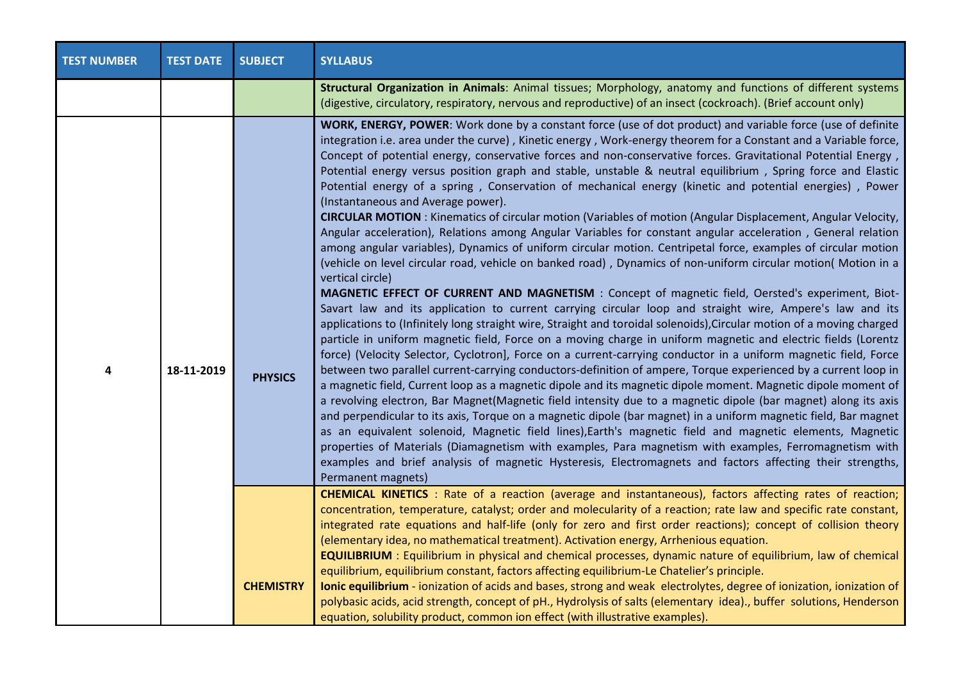| <b>TEST NUMBER</b> | <b>TEST DATE</b> | <b>SUBJECT</b>   | <b>SYLLABUS</b>                                                                                                                                                                                                                                                                                                                                                                                                                                                                                                                                                                                                                                                                                                                                                                                                                                                                                                                                                                                                                                                                                                                                                                                                                                                                                                                                                                                                                                                                                                                                                                                                                                                                                                                                                                                                                                                                                                                                                                                                                                                                                                                                                                                                                                                                                                                                                                                                                                                                                                                |
|--------------------|------------------|------------------|--------------------------------------------------------------------------------------------------------------------------------------------------------------------------------------------------------------------------------------------------------------------------------------------------------------------------------------------------------------------------------------------------------------------------------------------------------------------------------------------------------------------------------------------------------------------------------------------------------------------------------------------------------------------------------------------------------------------------------------------------------------------------------------------------------------------------------------------------------------------------------------------------------------------------------------------------------------------------------------------------------------------------------------------------------------------------------------------------------------------------------------------------------------------------------------------------------------------------------------------------------------------------------------------------------------------------------------------------------------------------------------------------------------------------------------------------------------------------------------------------------------------------------------------------------------------------------------------------------------------------------------------------------------------------------------------------------------------------------------------------------------------------------------------------------------------------------------------------------------------------------------------------------------------------------------------------------------------------------------------------------------------------------------------------------------------------------------------------------------------------------------------------------------------------------------------------------------------------------------------------------------------------------------------------------------------------------------------------------------------------------------------------------------------------------------------------------------------------------------------------------------------------------|
|                    |                  |                  | Structural Organization in Animals: Animal tissues; Morphology, anatomy and functions of different systems<br>(digestive, circulatory, respiratory, nervous and reproductive) of an insect (cockroach). (Brief account only)                                                                                                                                                                                                                                                                                                                                                                                                                                                                                                                                                                                                                                                                                                                                                                                                                                                                                                                                                                                                                                                                                                                                                                                                                                                                                                                                                                                                                                                                                                                                                                                                                                                                                                                                                                                                                                                                                                                                                                                                                                                                                                                                                                                                                                                                                                   |
| 4                  | 18-11-2019       | <b>PHYSICS</b>   | WORK, ENERGY, POWER: Work done by a constant force (use of dot product) and variable force (use of definite<br>integration i.e. area under the curve), Kinetic energy, Work-energy theorem for a Constant and a Variable force,<br>Concept of potential energy, conservative forces and non-conservative forces. Gravitational Potential Energy,<br>Potential energy versus position graph and stable, unstable & neutral equilibrium, Spring force and Elastic<br>Potential energy of a spring, Conservation of mechanical energy (kinetic and potential energies), Power<br>(Instantaneous and Average power).<br><b>CIRCULAR MOTION</b> : Kinematics of circular motion (Variables of motion (Angular Displacement, Angular Velocity,<br>Angular acceleration), Relations among Angular Variables for constant angular acceleration, General relation<br>among angular variables), Dynamics of uniform circular motion. Centripetal force, examples of circular motion<br>(vehicle on level circular road, vehicle on banked road), Dynamics of non-uniform circular motion( Motion in a<br>vertical circle)<br>MAGNETIC EFFECT OF CURRENT AND MAGNETISM : Concept of magnetic field, Oersted's experiment, Biot-<br>Savart law and its application to current carrying circular loop and straight wire, Ampere's law and its<br>applications to (Infinitely long straight wire, Straight and toroidal solenoids), Circular motion of a moving charged<br>particle in uniform magnetic field, Force on a moving charge in uniform magnetic and electric fields (Lorentz<br>force) (Velocity Selector, Cyclotron], Force on a current-carrying conductor in a uniform magnetic field, Force<br>between two parallel current-carrying conductors-definition of ampere, Torque experienced by a current loop in<br>a magnetic field, Current loop as a magnetic dipole and its magnetic dipole moment. Magnetic dipole moment of<br>a revolving electron, Bar Magnet(Magnetic field intensity due to a magnetic dipole (bar magnet) along its axis<br>and perpendicular to its axis, Torque on a magnetic dipole (bar magnet) in a uniform magnetic field, Bar magnet<br>as an equivalent solenoid, Magnetic field lines), Earth's magnetic field and magnetic elements, Magnetic<br>properties of Materials (Diamagnetism with examples, Para magnetism with examples, Ferromagnetism with<br>examples and brief analysis of magnetic Hysteresis, Electromagnets and factors affecting their strengths,<br>Permanent magnets) |
|                    |                  |                  | <b>CHEMICAL KINETICS</b> : Rate of a reaction (average and instantaneous), factors affecting rates of reaction;<br>concentration, temperature, catalyst; order and molecularity of a reaction; rate law and specific rate constant,<br>integrated rate equations and half-life (only for zero and first order reactions); concept of collision theory<br>(elementary idea, no mathematical treatment). Activation energy, Arrhenious equation.<br><b>EQUILIBRIUM</b> : Equilibrium in physical and chemical processes, dynamic nature of equilibrium, law of chemical<br>equilibrium, equilibrium constant, factors affecting equilibrium-Le Chatelier's principle.                                                                                                                                                                                                                                                                                                                                                                                                                                                                                                                                                                                                                                                                                                                                                                                                                                                                                                                                                                                                                                                                                                                                                                                                                                                                                                                                                                                                                                                                                                                                                                                                                                                                                                                                                                                                                                                            |
|                    |                  | <b>CHEMISTRY</b> | Ionic equilibrium - ionization of acids and bases, strong and weak electrolytes, degree of ionization, ionization of<br>polybasic acids, acid strength, concept of pH., Hydrolysis of salts (elementary idea)., buffer solutions, Henderson<br>equation, solubility product, common ion effect (with illustrative examples).                                                                                                                                                                                                                                                                                                                                                                                                                                                                                                                                                                                                                                                                                                                                                                                                                                                                                                                                                                                                                                                                                                                                                                                                                                                                                                                                                                                                                                                                                                                                                                                                                                                                                                                                                                                                                                                                                                                                                                                                                                                                                                                                                                                                   |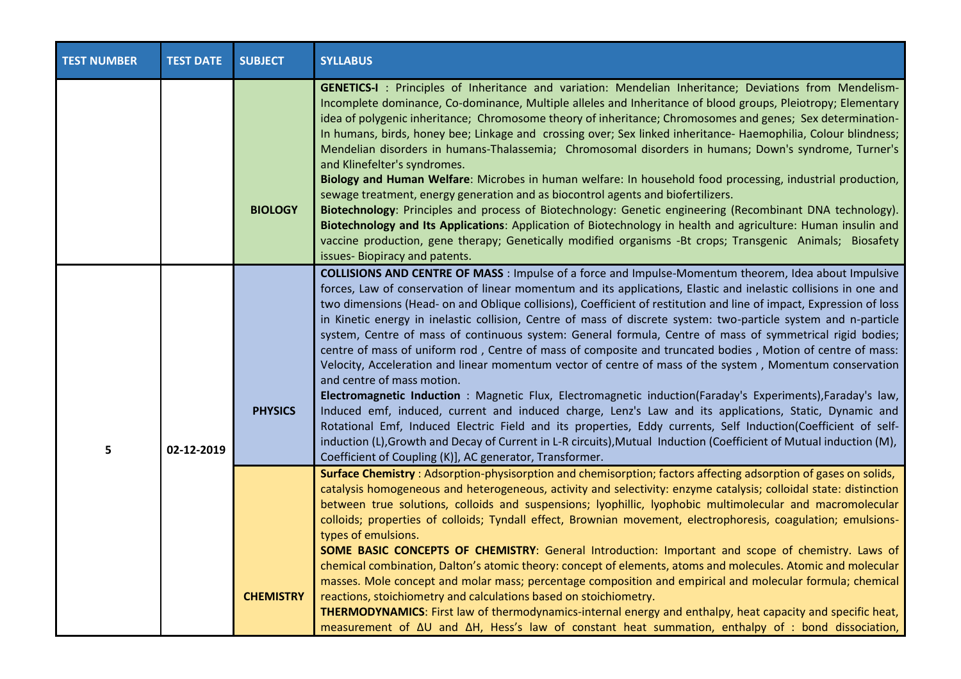| <b>TEST NUMBER</b> | <b>TEST DATE</b> | <b>SUBJECT</b>   | <b>SYLLABUS</b>                                                                                                                                                                                                                                                                                                                                                                                                                                                                                                                                                                                                                                                                                                                                                                                                                                                                                                                                                                                                                                                                                                                                                                                                                                                                                                                                                              |
|--------------------|------------------|------------------|------------------------------------------------------------------------------------------------------------------------------------------------------------------------------------------------------------------------------------------------------------------------------------------------------------------------------------------------------------------------------------------------------------------------------------------------------------------------------------------------------------------------------------------------------------------------------------------------------------------------------------------------------------------------------------------------------------------------------------------------------------------------------------------------------------------------------------------------------------------------------------------------------------------------------------------------------------------------------------------------------------------------------------------------------------------------------------------------------------------------------------------------------------------------------------------------------------------------------------------------------------------------------------------------------------------------------------------------------------------------------|
|                    |                  | <b>BIOLOGY</b>   | <b>GENETICS-I</b> : Principles of Inheritance and variation: Mendelian Inheritance; Deviations from Mendelism-<br>Incomplete dominance, Co-dominance, Multiple alleles and Inheritance of blood groups, Pleiotropy; Elementary<br>idea of polygenic inheritance; Chromosome theory of inheritance; Chromosomes and genes; Sex determination-<br>In humans, birds, honey bee; Linkage and crossing over; Sex linked inheritance- Haemophilia, Colour blindness;<br>Mendelian disorders in humans-Thalassemia; Chromosomal disorders in humans; Down's syndrome, Turner's<br>and Klinefelter's syndromes.<br>Biology and Human Welfare: Microbes in human welfare: In household food processing, industrial production,<br>sewage treatment, energy generation and as biocontrol agents and biofertilizers.<br>Biotechnology: Principles and process of Biotechnology: Genetic engineering (Recombinant DNA technology).<br>Biotechnology and Its Applications: Application of Biotechnology in health and agriculture: Human insulin and<br>vaccine production, gene therapy; Genetically modified organisms -Bt crops; Transgenic Animals; Biosafety<br>issues- Biopiracy and patents.                                                                                                                                                                                       |
| 5                  | 02-12-2019       | <b>PHYSICS</b>   | <b>COLLISIONS AND CENTRE OF MASS</b> : Impulse of a force and Impulse-Momentum theorem, Idea about Impulsive<br>forces, Law of conservation of linear momentum and its applications, Elastic and inelastic collisions in one and<br>two dimensions (Head- on and Oblique collisions), Coefficient of restitution and line of impact, Expression of loss<br>in Kinetic energy in inelastic collision, Centre of mass of discrete system: two-particle system and n-particle<br>system, Centre of mass of continuous system: General formula, Centre of mass of symmetrical rigid bodies;<br>centre of mass of uniform rod, Centre of mass of composite and truncated bodies, Motion of centre of mass:<br>Velocity, Acceleration and linear momentum vector of centre of mass of the system, Momentum conservation<br>and centre of mass motion.<br>Electromagnetic Induction : Magnetic Flux, Electromagnetic induction(Faraday's Experiments), Faraday's law,<br>Induced emf, induced, current and induced charge, Lenz's Law and its applications, Static, Dynamic and<br>Rotational Emf, Induced Electric Field and its properties, Eddy currents, Self Induction(Coefficient of self-<br>induction (L), Growth and Decay of Current in L-R circuits), Mutual Induction (Coefficient of Mutual induction (M),<br>Coefficient of Coupling (K)], AC generator, Transformer. |
|                    |                  | <b>CHEMISTRY</b> | Surface Chemistry: Adsorption-physisorption and chemisorption; factors affecting adsorption of gases on solids,<br>catalysis homogeneous and heterogeneous, activity and selectivity: enzyme catalysis; colloidal state: distinction<br>between true solutions, colloids and suspensions; lyophillic, lyophobic multimolecular and macromolecular<br>colloids; properties of colloids; Tyndall effect, Brownian movement, electrophoresis, coagulation; emulsions-<br>types of emulsions.<br><b>SOME BASIC CONCEPTS OF CHEMISTRY:</b> General Introduction: Important and scope of chemistry. Laws of<br>chemical combination, Dalton's atomic theory: concept of elements, atoms and molecules. Atomic and molecular<br>masses. Mole concept and molar mass; percentage composition and empirical and molecular formula; chemical<br>reactions, stoichiometry and calculations based on stoichiometry.<br>THERMODYNAMICS: First law of thermodynamics-internal energy and enthalpy, heat capacity and specific heat,<br>measurement of $\Delta U$ and $\Delta H$ , Hess's law of constant heat summation, enthalpy of : bond dissociation,                                                                                                                                                                                                                                  |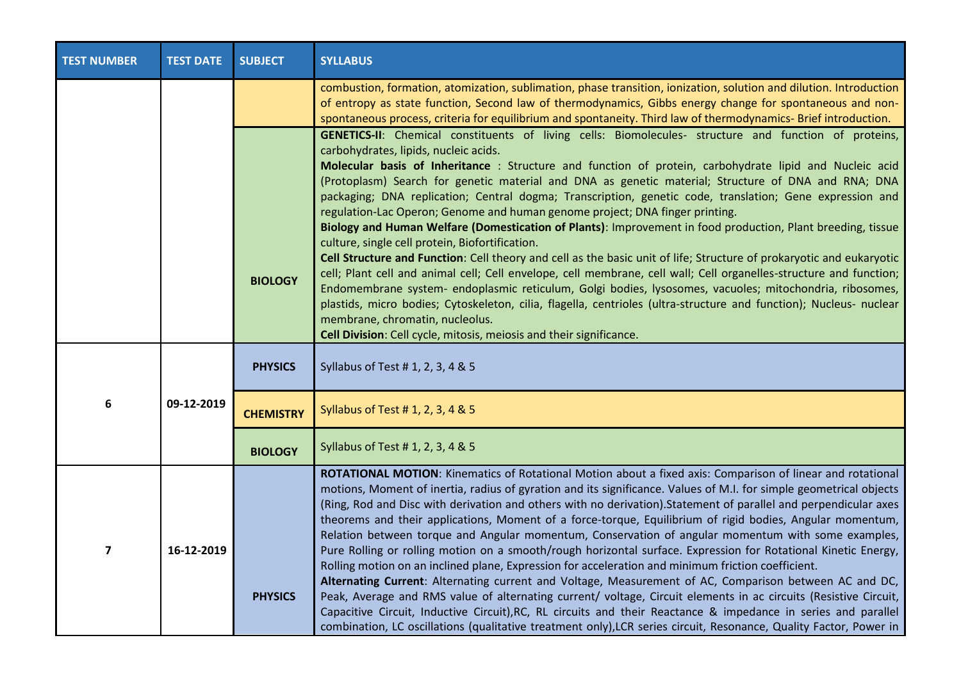| <b>TEST NUMBER</b>      | <b>TEST DATE</b> | <b>SUBJECT</b>   | <b>SYLLABUS</b>                                                                                                                                                                                                                                                                                                                                                                                                                                                                                                                                                                                                                                                                                                                                                                                                                                                                                                                                                                                                                                                                                                                                                                                                                                                                                                         |
|-------------------------|------------------|------------------|-------------------------------------------------------------------------------------------------------------------------------------------------------------------------------------------------------------------------------------------------------------------------------------------------------------------------------------------------------------------------------------------------------------------------------------------------------------------------------------------------------------------------------------------------------------------------------------------------------------------------------------------------------------------------------------------------------------------------------------------------------------------------------------------------------------------------------------------------------------------------------------------------------------------------------------------------------------------------------------------------------------------------------------------------------------------------------------------------------------------------------------------------------------------------------------------------------------------------------------------------------------------------------------------------------------------------|
|                         |                  |                  | combustion, formation, atomization, sublimation, phase transition, ionization, solution and dilution. Introduction<br>of entropy as state function, Second law of thermodynamics, Gibbs energy change for spontaneous and non-<br>spontaneous process, criteria for equilibrium and spontaneity. Third law of thermodynamics- Brief introduction.                                                                                                                                                                                                                                                                                                                                                                                                                                                                                                                                                                                                                                                                                                                                                                                                                                                                                                                                                                       |
|                         |                  | <b>BIOLOGY</b>   | GENETICS-II: Chemical constituents of living cells: Biomolecules- structure and function of proteins,<br>carbohydrates, lipids, nucleic acids.<br>Molecular basis of Inheritance : Structure and function of protein, carbohydrate lipid and Nucleic acid<br>(Protoplasm) Search for genetic material and DNA as genetic material; Structure of DNA and RNA; DNA<br>packaging; DNA replication; Central dogma; Transcription, genetic code, translation; Gene expression and<br>regulation-Lac Operon; Genome and human genome project; DNA finger printing.<br>Biology and Human Welfare (Domestication of Plants): Improvement in food production, Plant breeding, tissue<br>culture, single cell protein, Biofortification.<br>Cell Structure and Function: Cell theory and cell as the basic unit of life; Structure of prokaryotic and eukaryotic<br>cell; Plant cell and animal cell; Cell envelope, cell membrane, cell wall; Cell organelles-structure and function;<br>Endomembrane system- endoplasmic reticulum, Golgi bodies, lysosomes, vacuoles; mitochondria, ribosomes,<br>plastids, micro bodies; Cytoskeleton, cilia, flagella, centrioles (ultra-structure and function); Nucleus- nuclear<br>membrane, chromatin, nucleolus.<br>Cell Division: Cell cycle, mitosis, meiosis and their significance. |
| 6                       | 09-12-2019       | <b>PHYSICS</b>   | Syllabus of Test # 1, 2, 3, 4 & 5                                                                                                                                                                                                                                                                                                                                                                                                                                                                                                                                                                                                                                                                                                                                                                                                                                                                                                                                                                                                                                                                                                                                                                                                                                                                                       |
|                         |                  | <b>CHEMISTRY</b> | Syllabus of Test # 1, 2, 3, 4 & 5                                                                                                                                                                                                                                                                                                                                                                                                                                                                                                                                                                                                                                                                                                                                                                                                                                                                                                                                                                                                                                                                                                                                                                                                                                                                                       |
|                         |                  | <b>BIOLOGY</b>   | Syllabus of Test # 1, 2, 3, 4 & 5                                                                                                                                                                                                                                                                                                                                                                                                                                                                                                                                                                                                                                                                                                                                                                                                                                                                                                                                                                                                                                                                                                                                                                                                                                                                                       |
| $\overline{\mathbf{z}}$ | 16-12-2019       | <b>PHYSICS</b>   | ROTATIONAL MOTION: Kinematics of Rotational Motion about a fixed axis: Comparison of linear and rotational<br>motions, Moment of inertia, radius of gyration and its significance. Values of M.I. for simple geometrical objects<br>(Ring, Rod and Disc with derivation and others with no derivation). Statement of parallel and perpendicular axes<br>theorems and their applications, Moment of a force-torque, Equilibrium of rigid bodies, Angular momentum,<br>Relation between torque and Angular momentum, Conservation of angular momentum with some examples,<br>Pure Rolling or rolling motion on a smooth/rough horizontal surface. Expression for Rotational Kinetic Energy,<br>Rolling motion on an inclined plane, Expression for acceleration and minimum friction coefficient.<br>Alternating Current: Alternating current and Voltage, Measurement of AC, Comparison between AC and DC,<br>Peak, Average and RMS value of alternating current/ voltage, Circuit elements in ac circuits (Resistive Circuit,<br>Capacitive Circuit, Inductive Circuit), RC, RL circuits and their Reactance & impedance in series and parallel<br>combination, LC oscillations (qualitative treatment only), LCR series circuit, Resonance, Quality Factor, Power in                                                   |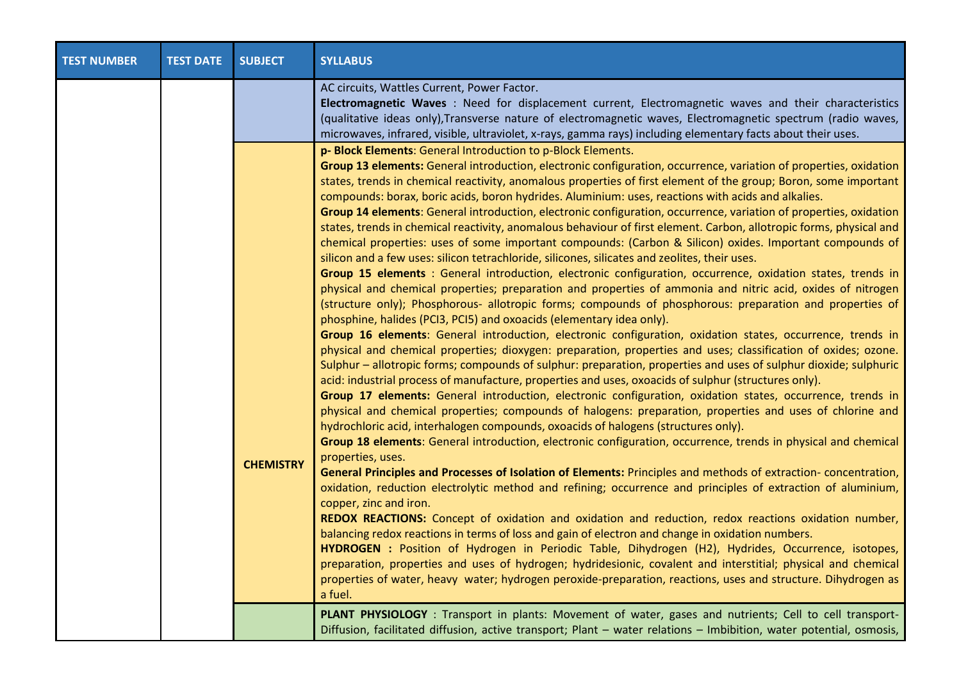| <b>TEST NUMBER</b> | <b>TEST DATE</b> | <b>SUBJECT</b>   | <b>SYLLABUS</b>                                                                                                                                                                                                                                                                                                                                                                                                                                                                                                                                                                                                                                                                                                                                                                                                                                                                                                                                                                                                                                                                                                                                                                                                                                                                                                                                                                                                                                                                                                                                                                                                                                                                                                                                                                                                                                                                                                                                                                                                                                                                                                                                                                                                                                                                                                                                                                                                                                                                                                                                                                                                                                                                                                                                                                                                                                                                                                                                                                                                                                                                                                                                                                                                                                                                                                                                                                                                                                                                                                                             |
|--------------------|------------------|------------------|---------------------------------------------------------------------------------------------------------------------------------------------------------------------------------------------------------------------------------------------------------------------------------------------------------------------------------------------------------------------------------------------------------------------------------------------------------------------------------------------------------------------------------------------------------------------------------------------------------------------------------------------------------------------------------------------------------------------------------------------------------------------------------------------------------------------------------------------------------------------------------------------------------------------------------------------------------------------------------------------------------------------------------------------------------------------------------------------------------------------------------------------------------------------------------------------------------------------------------------------------------------------------------------------------------------------------------------------------------------------------------------------------------------------------------------------------------------------------------------------------------------------------------------------------------------------------------------------------------------------------------------------------------------------------------------------------------------------------------------------------------------------------------------------------------------------------------------------------------------------------------------------------------------------------------------------------------------------------------------------------------------------------------------------------------------------------------------------------------------------------------------------------------------------------------------------------------------------------------------------------------------------------------------------------------------------------------------------------------------------------------------------------------------------------------------------------------------------------------------------------------------------------------------------------------------------------------------------------------------------------------------------------------------------------------------------------------------------------------------------------------------------------------------------------------------------------------------------------------------------------------------------------------------------------------------------------------------------------------------------------------------------------------------------------------------------------------------------------------------------------------------------------------------------------------------------------------------------------------------------------------------------------------------------------------------------------------------------------------------------------------------------------------------------------------------------------------------------------------------------------------------------------------------------|
|                    |                  | <b>CHEMISTRY</b> | AC circuits, Wattles Current, Power Factor.<br>Electromagnetic Waves : Need for displacement current, Electromagnetic waves and their characteristics<br>(qualitative ideas only), Transverse nature of electromagnetic waves, Electromagnetic spectrum (radio waves,<br>microwaves, infrared, visible, ultraviolet, x-rays, gamma rays) including elementary facts about their uses.<br>p- Block Elements: General Introduction to p-Block Elements.<br>Group 13 elements: General introduction, electronic configuration, occurrence, variation of properties, oxidation<br>states, trends in chemical reactivity, anomalous properties of first element of the group; Boron, some important<br>compounds: borax, boric acids, boron hydrides. Aluminium: uses, reactions with acids and alkalies.<br>Group 14 elements: General introduction, electronic configuration, occurrence, variation of properties, oxidation<br>states, trends in chemical reactivity, anomalous behaviour of first element. Carbon, allotropic forms, physical and<br>chemical properties: uses of some important compounds: (Carbon & Silicon) oxides. Important compounds of<br>silicon and a few uses: silicon tetrachloride, silicones, silicates and zeolites, their uses.<br>Group 15 elements : General introduction, electronic configuration, occurrence, oxidation states, trends in<br>physical and chemical properties; preparation and properties of ammonia and nitric acid, oxides of nitrogen<br>(structure only); Phosphorous- allotropic forms; compounds of phosphorous: preparation and properties of<br>phosphine, halides (PCI3, PCI5) and oxoacids (elementary idea only).<br>Group 16 elements: General introduction, electronic configuration, oxidation states, occurrence, trends in<br>physical and chemical properties; dioxygen: preparation, properties and uses; classification of oxides; ozone.<br>Sulphur - allotropic forms; compounds of sulphur: preparation, properties and uses of sulphur dioxide; sulphuric<br>acid: industrial process of manufacture, properties and uses, oxoacids of sulphur (structures only).<br>Group 17 elements: General introduction, electronic configuration, oxidation states, occurrence, trends in<br>physical and chemical properties; compounds of halogens: preparation, properties and uses of chlorine and<br>hydrochloric acid, interhalogen compounds, oxoacids of halogens (structures only).<br>Group 18 elements: General introduction, electronic configuration, occurrence, trends in physical and chemical<br>properties, uses.<br>General Principles and Processes of Isolation of Elements: Principles and methods of extraction- concentration,<br>oxidation, reduction electrolytic method and refining; occurrence and principles of extraction of aluminium,<br>copper, zinc and iron.<br>REDOX REACTIONS: Concept of oxidation and oxidation and reduction, redox reactions oxidation number,<br>balancing redox reactions in terms of loss and gain of electron and change in oxidation numbers.<br>HYDROGEN : Position of Hydrogen in Periodic Table, Dihydrogen (H2), Hydrides, Occurrence, isotopes,<br>preparation, properties and uses of hydrogen; hydridesionic, covalent and interstitial; physical and chemical<br>properties of water, heavy water; hydrogen peroxide-preparation, reactions, uses and structure. Dihydrogen as<br>a fuel.<br>PLANT PHYSIOLOGY : Transport in plants: Movement of water, gases and nutrients; Cell to cell transport- |
|                    |                  |                  | Diffusion, facilitated diffusion, active transport; Plant – water relations – Imbibition, water potential, osmosis,                                                                                                                                                                                                                                                                                                                                                                                                                                                                                                                                                                                                                                                                                                                                                                                                                                                                                                                                                                                                                                                                                                                                                                                                                                                                                                                                                                                                                                                                                                                                                                                                                                                                                                                                                                                                                                                                                                                                                                                                                                                                                                                                                                                                                                                                                                                                                                                                                                                                                                                                                                                                                                                                                                                                                                                                                                                                                                                                                                                                                                                                                                                                                                                                                                                                                                                                                                                                                         |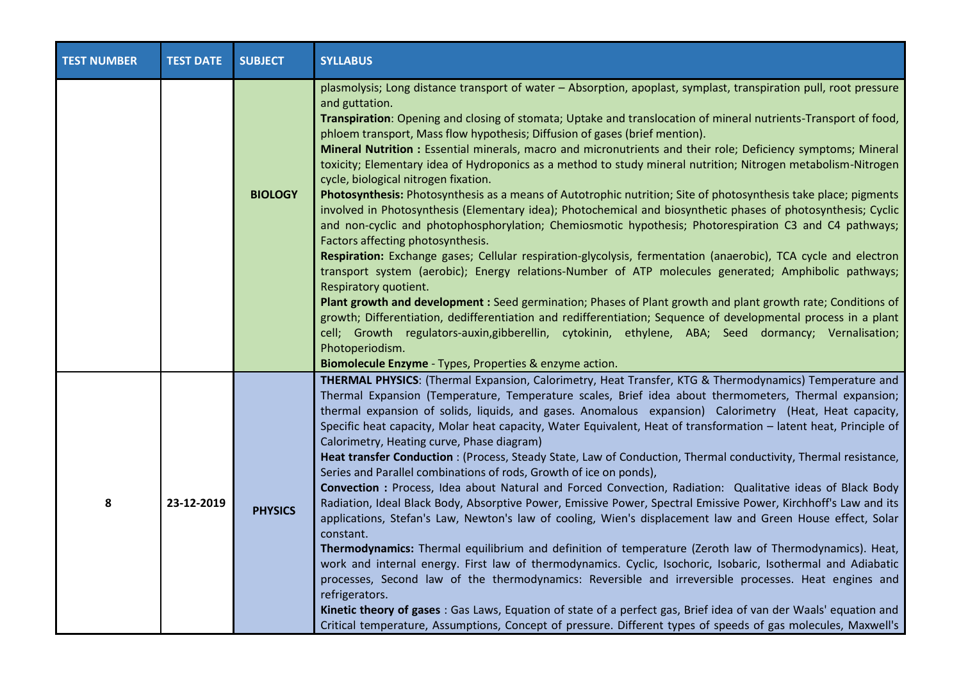| <b>TEST NUMBER</b> | <b>TEST DATE</b> | <b>SUBJECT</b> | <b>SYLLABUS</b>                                                                                                                                                                                                                                                                                                                                                                                                                                                                                                                                                                                                                                                                                                                                                                                                                                                                                                                                                                                                                                                                                                                                                                                                                                                                                                                                                                                                                                                                                                                                                                                                                                                              |
|--------------------|------------------|----------------|------------------------------------------------------------------------------------------------------------------------------------------------------------------------------------------------------------------------------------------------------------------------------------------------------------------------------------------------------------------------------------------------------------------------------------------------------------------------------------------------------------------------------------------------------------------------------------------------------------------------------------------------------------------------------------------------------------------------------------------------------------------------------------------------------------------------------------------------------------------------------------------------------------------------------------------------------------------------------------------------------------------------------------------------------------------------------------------------------------------------------------------------------------------------------------------------------------------------------------------------------------------------------------------------------------------------------------------------------------------------------------------------------------------------------------------------------------------------------------------------------------------------------------------------------------------------------------------------------------------------------------------------------------------------------|
|                    |                  | <b>BIOLOGY</b> | plasmolysis; Long distance transport of water - Absorption, apoplast, symplast, transpiration pull, root pressure<br>and guttation.<br>Transpiration: Opening and closing of stomata; Uptake and translocation of mineral nutrients-Transport of food,<br>phloem transport, Mass flow hypothesis; Diffusion of gases (brief mention).<br>Mineral Nutrition : Essential minerals, macro and micronutrients and their role; Deficiency symptoms; Mineral<br>toxicity; Elementary idea of Hydroponics as a method to study mineral nutrition; Nitrogen metabolism-Nitrogen<br>cycle, biological nitrogen fixation.<br>Photosynthesis: Photosynthesis as a means of Autotrophic nutrition; Site of photosynthesis take place; pigments<br>involved in Photosynthesis (Elementary idea); Photochemical and biosynthetic phases of photosynthesis; Cyclic<br>and non-cyclic and photophosphorylation; Chemiosmotic hypothesis; Photorespiration C3 and C4 pathways;<br>Factors affecting photosynthesis.<br>Respiration: Exchange gases; Cellular respiration-glycolysis, fermentation (anaerobic), TCA cycle and electron<br>transport system (aerobic); Energy relations-Number of ATP molecules generated; Amphibolic pathways;<br>Respiratory quotient.<br>Plant growth and development : Seed germination; Phases of Plant growth and plant growth rate; Conditions of<br>growth; Differentiation, dedifferentiation and redifferentiation; Sequence of developmental process in a plant<br>cell; Growth regulators-auxin, gibberellin, cytokinin, ethylene, ABA; Seed dormancy; Vernalisation;<br>Photoperiodism.<br>Biomolecule Enzyme - Types, Properties & enzyme action. |
| 8                  | 23-12-2019       | <b>PHYSICS</b> | THERMAL PHYSICS: (Thermal Expansion, Calorimetry, Heat Transfer, KTG & Thermodynamics) Temperature and<br>Thermal Expansion (Temperature, Temperature scales, Brief idea about thermometers, Thermal expansion;<br>thermal expansion of solids, liquids, and gases. Anomalous expansion) Calorimetry (Heat, Heat capacity,<br>Specific heat capacity, Molar heat capacity, Water Equivalent, Heat of transformation - latent heat, Principle of<br>Calorimetry, Heating curve, Phase diagram)<br>Heat transfer Conduction: (Process, Steady State, Law of Conduction, Thermal conductivity, Thermal resistance,<br>Series and Parallel combinations of rods, Growth of ice on ponds),<br>Convection : Process, Idea about Natural and Forced Convection, Radiation: Qualitative ideas of Black Body<br>Radiation, Ideal Black Body, Absorptive Power, Emissive Power, Spectral Emissive Power, Kirchhoff's Law and its<br>applications, Stefan's Law, Newton's law of cooling, Wien's displacement law and Green House effect, Solar<br>constant.<br>Thermodynamics: Thermal equilibrium and definition of temperature (Zeroth law of Thermodynamics). Heat,<br>work and internal energy. First law of thermodynamics. Cyclic, Isochoric, Isobaric, Isothermal and Adiabatic<br>processes, Second law of the thermodynamics: Reversible and irreversible processes. Heat engines and<br>refrigerators.<br>Kinetic theory of gases : Gas Laws, Equation of state of a perfect gas, Brief idea of van der Waals' equation and<br>Critical temperature, Assumptions, Concept of pressure. Different types of speeds of gas molecules, Maxwell's                                 |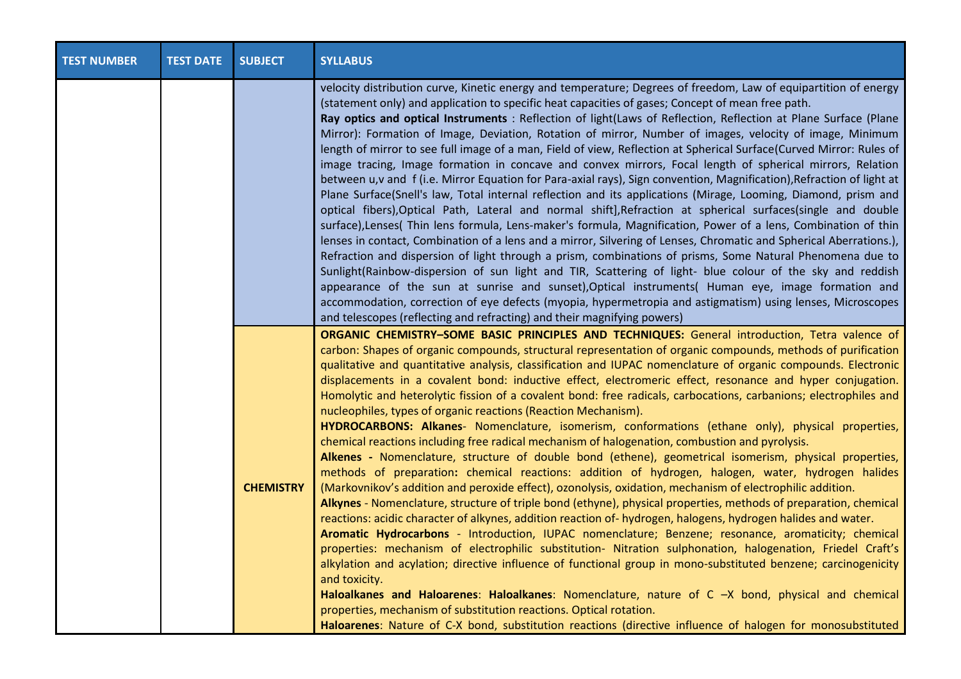| <b>TEST NUMBER</b> | <b>TEST DATE</b> | <b>SUBJECT</b>   | <b>SYLLABUS</b>                                                                                                                                                                                                                                                                                                                                                                                                                                                                                                                                                                                                                                                                                                                                                                                                                                                                                                                                                                                                                                                                                                                                                                                                                                                                                                                                                                                                                                                                                                                                                                                                                                                                                                                                                                                                                                                                                                                                                                                                                                              |
|--------------------|------------------|------------------|--------------------------------------------------------------------------------------------------------------------------------------------------------------------------------------------------------------------------------------------------------------------------------------------------------------------------------------------------------------------------------------------------------------------------------------------------------------------------------------------------------------------------------------------------------------------------------------------------------------------------------------------------------------------------------------------------------------------------------------------------------------------------------------------------------------------------------------------------------------------------------------------------------------------------------------------------------------------------------------------------------------------------------------------------------------------------------------------------------------------------------------------------------------------------------------------------------------------------------------------------------------------------------------------------------------------------------------------------------------------------------------------------------------------------------------------------------------------------------------------------------------------------------------------------------------------------------------------------------------------------------------------------------------------------------------------------------------------------------------------------------------------------------------------------------------------------------------------------------------------------------------------------------------------------------------------------------------------------------------------------------------------------------------------------------------|
|                    |                  |                  | velocity distribution curve, Kinetic energy and temperature; Degrees of freedom, Law of equipartition of energy<br>(statement only) and application to specific heat capacities of gases; Concept of mean free path.<br>Ray optics and optical Instruments : Reflection of light(Laws of Reflection, Reflection at Plane Surface (Plane<br>Mirror): Formation of Image, Deviation, Rotation of mirror, Number of images, velocity of image, Minimum<br>length of mirror to see full image of a man, Field of view, Reflection at Spherical Surface(Curved Mirror: Rules of<br>image tracing, Image formation in concave and convex mirrors, Focal length of spherical mirrors, Relation<br>between u,v and f (i.e. Mirror Equation for Para-axial rays), Sign convention, Magnification), Refraction of light at<br>Plane Surface(Snell's law, Total internal reflection and its applications (Mirage, Looming, Diamond, prism and<br>optical fibers), Optical Path, Lateral and normal shift], Refraction at spherical surfaces(single and double<br>surface), Lenses( Thin lens formula, Lens-maker's formula, Magnification, Power of a lens, Combination of thin<br>lenses in contact, Combination of a lens and a mirror, Silvering of Lenses, Chromatic and Spherical Aberrations.),<br>Refraction and dispersion of light through a prism, combinations of prisms, Some Natural Phenomena due to<br>Sunlight(Rainbow-dispersion of sun light and TIR, Scattering of light- blue colour of the sky and reddish<br>appearance of the sun at sunrise and sunset), Optical instruments (Human eye, image formation and<br>accommodation, correction of eye defects (myopia, hypermetropia and astigmatism) using lenses, Microscopes<br>and telescopes (reflecting and refracting) and their magnifying powers)                                                                                                                                                                                                                                           |
|                    |                  | <b>CHEMISTRY</b> | ORGANIC CHEMISTRY-SOME BASIC PRINCIPLES AND TECHNIQUES: General introduction, Tetra valence of<br>carbon: Shapes of organic compounds, structural representation of organic compounds, methods of purification<br>qualitative and quantitative analysis, classification and IUPAC nomenclature of organic compounds. Electronic<br>displacements in a covalent bond: inductive effect, electromeric effect, resonance and hyper conjugation.<br>Homolytic and heterolytic fission of a covalent bond: free radicals, carbocations, carbanions; electrophiles and<br>nucleophiles, types of organic reactions (Reaction Mechanism).<br>HYDROCARBONS: Alkanes- Nomenclature, isomerism, conformations (ethane only), physical properties,<br>chemical reactions including free radical mechanism of halogenation, combustion and pyrolysis.<br>Alkenes - Nomenclature, structure of double bond (ethene), geometrical isomerism, physical properties,<br>methods of preparation: chemical reactions: addition of hydrogen, halogen, water, hydrogen halides<br>(Markovnikov's addition and peroxide effect), ozonolysis, oxidation, mechanism of electrophilic addition.<br>Alkynes - Nomenclature, structure of triple bond (ethyne), physical properties, methods of preparation, chemical<br>reactions: acidic character of alkynes, addition reaction of- hydrogen, halogens, hydrogen halides and water.<br>Aromatic Hydrocarbons - Introduction, IUPAC nomenclature; Benzene; resonance, aromaticity; chemical<br>properties: mechanism of electrophilic substitution- Nitration sulphonation, halogenation, Friedel Craft's<br>alkylation and acylation; directive influence of functional group in mono-substituted benzene; carcinogenicity<br>and toxicity.<br>Haloalkanes and Haloarenes: Haloalkanes: Nomenclature, nature of C -X bond, physical and chemical<br>properties, mechanism of substitution reactions. Optical rotation.<br>Haloarenes: Nature of C-X bond, substitution reactions (directive influence of halogen for monosubstituted |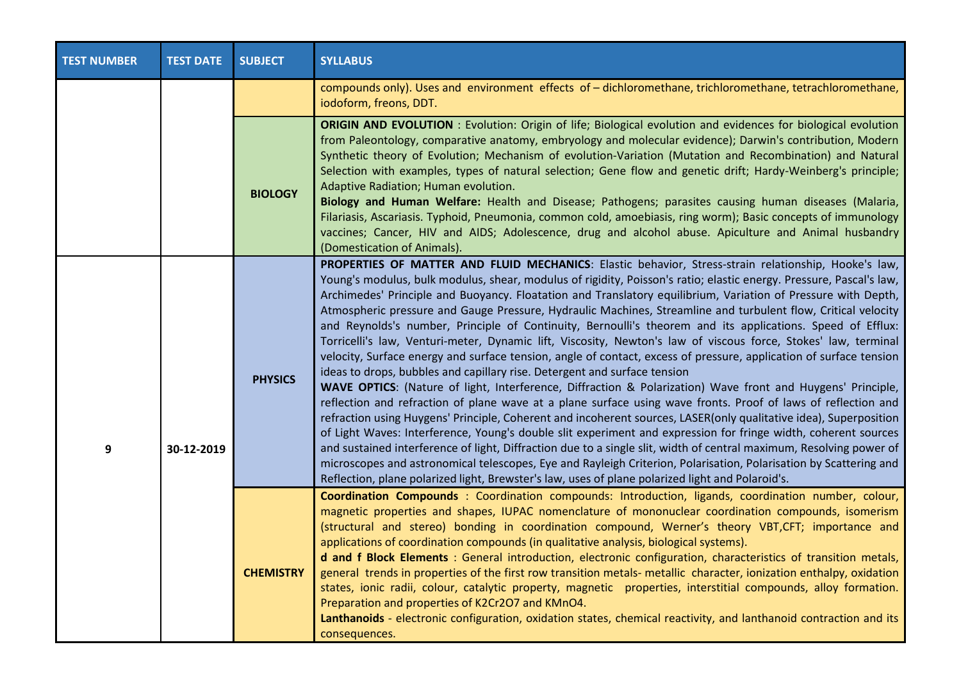| <b>TEST NUMBER</b> | <b>TEST DATE</b> | <b>SUBJECT</b>   | <b>SYLLABUS</b>                                                                                                                                                                                                                                                                                                                                                                                                                                                                                                                                                                                                                                                                                                                                                                                                                                                                                                                                                                                                                                                                                                                                                                                                                                                                                                                                                                                                                                                                                                                                                                                                                                                                                                                |
|--------------------|------------------|------------------|--------------------------------------------------------------------------------------------------------------------------------------------------------------------------------------------------------------------------------------------------------------------------------------------------------------------------------------------------------------------------------------------------------------------------------------------------------------------------------------------------------------------------------------------------------------------------------------------------------------------------------------------------------------------------------------------------------------------------------------------------------------------------------------------------------------------------------------------------------------------------------------------------------------------------------------------------------------------------------------------------------------------------------------------------------------------------------------------------------------------------------------------------------------------------------------------------------------------------------------------------------------------------------------------------------------------------------------------------------------------------------------------------------------------------------------------------------------------------------------------------------------------------------------------------------------------------------------------------------------------------------------------------------------------------------------------------------------------------------|
|                    |                  |                  | compounds only). Uses and environment effects of - dichloromethane, trichloromethane, tetrachloromethane,<br>iodoform, freons, DDT.                                                                                                                                                                                                                                                                                                                                                                                                                                                                                                                                                                                                                                                                                                                                                                                                                                                                                                                                                                                                                                                                                                                                                                                                                                                                                                                                                                                                                                                                                                                                                                                            |
|                    |                  | <b>BIOLOGY</b>   | <b>ORIGIN AND EVOLUTION</b> : Evolution: Origin of life; Biological evolution and evidences for biological evolution<br>from Paleontology, comparative anatomy, embryology and molecular evidence); Darwin's contribution, Modern<br>Synthetic theory of Evolution; Mechanism of evolution-Variation (Mutation and Recombination) and Natural<br>Selection with examples, types of natural selection; Gene flow and genetic drift; Hardy-Weinberg's principle;<br>Adaptive Radiation; Human evolution.<br>Biology and Human Welfare: Health and Disease; Pathogens; parasites causing human diseases (Malaria,<br>Filariasis, Ascariasis. Typhoid, Pneumonia, common cold, amoebiasis, ring worm); Basic concepts of immunology<br>vaccines; Cancer, HIV and AIDS; Adolescence, drug and alcohol abuse. Apiculture and Animal husbandry<br>(Domestication of Animals).                                                                                                                                                                                                                                                                                                                                                                                                                                                                                                                                                                                                                                                                                                                                                                                                                                                         |
| 9                  | 30-12-2019       | <b>PHYSICS</b>   | PROPERTIES OF MATTER AND FLUID MECHANICS: Elastic behavior, Stress-strain relationship, Hooke's law,<br>Young's modulus, bulk modulus, shear, modulus of rigidity, Poisson's ratio; elastic energy. Pressure, Pascal's law,<br>Archimedes' Principle and Buoyancy. Floatation and Translatory equilibrium, Variation of Pressure with Depth,<br>Atmospheric pressure and Gauge Pressure, Hydraulic Machines, Streamline and turbulent flow, Critical velocity<br>and Reynolds's number, Principle of Continuity, Bernoulli's theorem and its applications. Speed of Efflux:<br>Torricelli's law, Venturi-meter, Dynamic lift, Viscosity, Newton's law of viscous force, Stokes' law, terminal<br>velocity, Surface energy and surface tension, angle of contact, excess of pressure, application of surface tension<br>ideas to drops, bubbles and capillary rise. Detergent and surface tension<br><b>WAVE OPTICS:</b> (Nature of light, Interference, Diffraction & Polarization) Wave front and Huygens' Principle,<br>reflection and refraction of plane wave at a plane surface using wave fronts. Proof of laws of reflection and<br>refraction using Huygens' Principle, Coherent and incoherent sources, LASER(only qualitative idea), Superposition<br>of Light Waves: Interference, Young's double slit experiment and expression for fringe width, coherent sources<br>and sustained interference of light, Diffraction due to a single slit, width of central maximum, Resolving power of<br>microscopes and astronomical telescopes, Eye and Rayleigh Criterion, Polarisation, Polarisation by Scattering and<br>Reflection, plane polarized light, Brewster's law, uses of plane polarized light and Polaroid's. |
|                    |                  | <b>CHEMISTRY</b> | Coordination Compounds : Coordination compounds: Introduction, ligands, coordination number, colour,<br>magnetic properties and shapes, IUPAC nomenclature of mononuclear coordination compounds, isomerism<br>(structural and stereo) bonding in coordination compound, Werner's theory VBT,CFT; importance and<br>applications of coordination compounds (in qualitative analysis, biological systems).<br>d and f Block Elements : General introduction, electronic configuration, characteristics of transition metals,<br>general trends in properties of the first row transition metals- metallic character, ionization enthalpy, oxidation<br>states, ionic radii, colour, catalytic property, magnetic properties, interstitial compounds, alloy formation.<br>Preparation and properties of K2Cr2O7 and KMnO4.<br>Lanthanoids - electronic configuration, oxidation states, chemical reactivity, and lanthanoid contraction and its<br>consequences.                                                                                                                                                                                                                                                                                                                                                                                                                                                                                                                                                                                                                                                                                                                                                                 |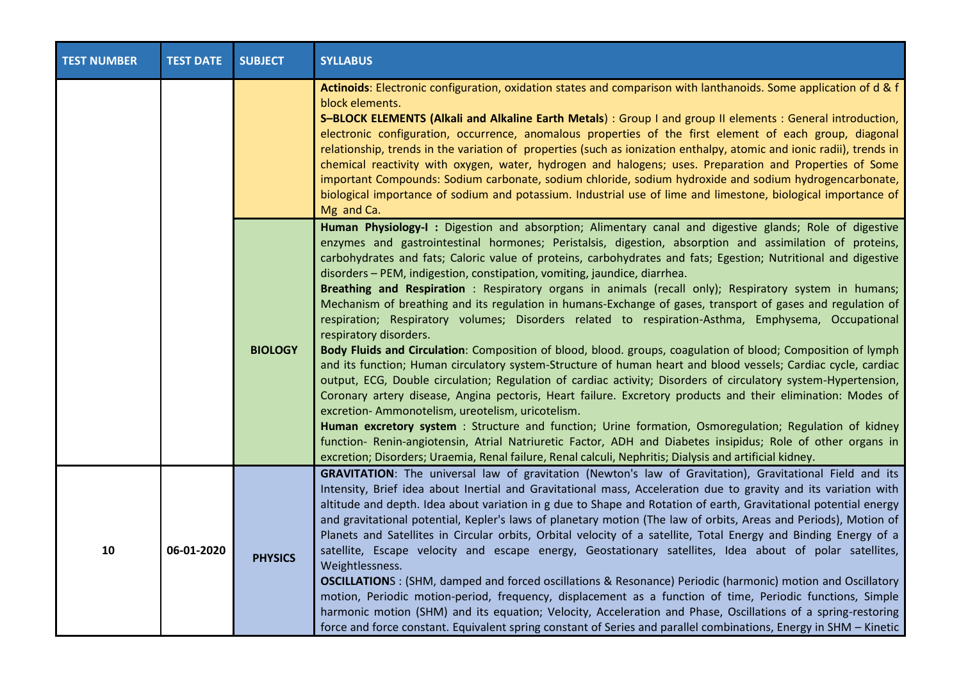| <b>TEST NUMBER</b> | <b>TEST DATE</b> | <b>SUBJECT</b> | <b>SYLLABUS</b>                                                                                                                                                                                                                                                                                                                                                                                                                                                                                                                                                                                                                                                                                                                                                                                                                                                                                                                                                                                                                                                                                                                                                                                                                                                                                                                                                                                                                                                                                                                                                                                                                     |
|--------------------|------------------|----------------|-------------------------------------------------------------------------------------------------------------------------------------------------------------------------------------------------------------------------------------------------------------------------------------------------------------------------------------------------------------------------------------------------------------------------------------------------------------------------------------------------------------------------------------------------------------------------------------------------------------------------------------------------------------------------------------------------------------------------------------------------------------------------------------------------------------------------------------------------------------------------------------------------------------------------------------------------------------------------------------------------------------------------------------------------------------------------------------------------------------------------------------------------------------------------------------------------------------------------------------------------------------------------------------------------------------------------------------------------------------------------------------------------------------------------------------------------------------------------------------------------------------------------------------------------------------------------------------------------------------------------------------|
|                    |                  |                | Actinoids: Electronic configuration, oxidation states and comparison with lanthanoids. Some application of d & f<br>block elements.<br>S-BLOCK ELEMENTS (Alkali and Alkaline Earth Metals) : Group I and group II elements : General introduction,<br>electronic configuration, occurrence, anomalous properties of the first element of each group, diagonal<br>relationship, trends in the variation of properties (such as ionization enthalpy, atomic and ionic radii), trends in<br>chemical reactivity with oxygen, water, hydrogen and halogens; uses. Preparation and Properties of Some<br>important Compounds: Sodium carbonate, sodium chloride, sodium hydroxide and sodium hydrogencarbonate,<br>biological importance of sodium and potassium. Industrial use of lime and limestone, biological importance of<br>Mg and Ca.                                                                                                                                                                                                                                                                                                                                                                                                                                                                                                                                                                                                                                                                                                                                                                                           |
|                    |                  | <b>BIOLOGY</b> | Human Physiology-I: Digestion and absorption; Alimentary canal and digestive glands; Role of digestive<br>enzymes and gastrointestinal hormones; Peristalsis, digestion, absorption and assimilation of proteins,<br>carbohydrates and fats; Caloric value of proteins, carbohydrates and fats; Egestion; Nutritional and digestive<br>disorders - PEM, indigestion, constipation, vomiting, jaundice, diarrhea.<br>Breathing and Respiration : Respiratory organs in animals (recall only); Respiratory system in humans;<br>Mechanism of breathing and its regulation in humans-Exchange of gases, transport of gases and regulation of<br>respiration; Respiratory volumes; Disorders related to respiration-Asthma, Emphysema, Occupational<br>respiratory disorders.<br>Body Fluids and Circulation: Composition of blood, blood. groups, coagulation of blood; Composition of lymph<br>and its function; Human circulatory system-Structure of human heart and blood vessels; Cardiac cycle, cardiac<br>output, ECG, Double circulation; Regulation of cardiac activity; Disorders of circulatory system-Hypertension,<br>Coronary artery disease, Angina pectoris, Heart failure. Excretory products and their elimination: Modes of<br>excretion-Ammonotelism, ureotelism, uricotelism.<br>Human excretory system : Structure and function; Urine formation, Osmoregulation; Regulation of kidney<br>function- Renin-angiotensin, Atrial Natriuretic Factor, ADH and Diabetes insipidus; Role of other organs in<br>excretion; Disorders; Uraemia, Renal failure, Renal calculi, Nephritis; Dialysis and artificial kidney. |
| 10                 | 06-01-2020       | <b>PHYSICS</b> | GRAVITATION: The universal law of gravitation (Newton's law of Gravitation), Gravitational Field and its<br>Intensity, Brief idea about Inertial and Gravitational mass, Acceleration due to gravity and its variation with<br>altitude and depth. Idea about variation in g due to Shape and Rotation of earth, Gravitational potential energy<br>and gravitational potential, Kepler's laws of planetary motion (The law of orbits, Areas and Periods), Motion of<br>Planets and Satellites in Circular orbits, Orbital velocity of a satellite, Total Energy and Binding Energy of a<br>satellite, Escape velocity and escape energy, Geostationary satellites, Idea about of polar satellites,<br>Weightlessness.<br><b>OSCILLATION</b> S: (SHM, damped and forced oscillations & Resonance) Periodic (harmonic) motion and Oscillatory<br>motion, Periodic motion-period, frequency, displacement as a function of time, Periodic functions, Simple<br>harmonic motion (SHM) and its equation; Velocity, Acceleration and Phase, Oscillations of a spring-restoring<br>force and force constant. Equivalent spring constant of Series and parallel combinations, Energy in SHM - Kinetic                                                                                                                                                                                                                                                                                                                                                                                                                                       |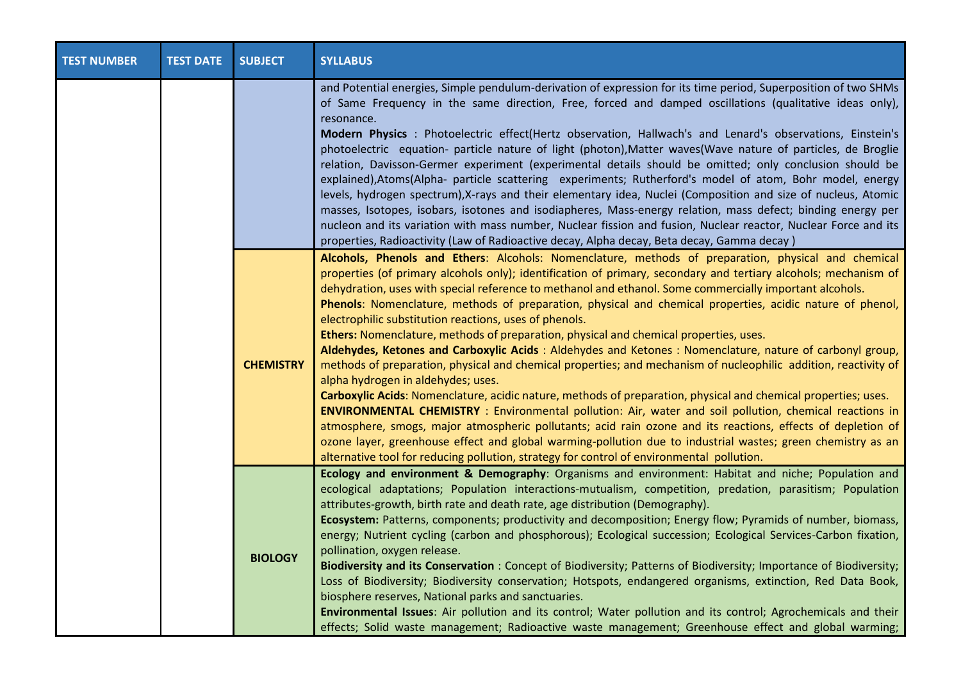| <b>TEST NUMBER</b> | <b>TEST DATE</b> | <b>SUBJECT</b>   | <b>SYLLABUS</b>                                                                                                                                                                                                                                                                                                                                                                                                                                                                                                                                                                                                                                                                                                                                                                                                                                                                                                                                                                                                                                                                                                                                                                                                                                                                                                                                                                                                                      |
|--------------------|------------------|------------------|--------------------------------------------------------------------------------------------------------------------------------------------------------------------------------------------------------------------------------------------------------------------------------------------------------------------------------------------------------------------------------------------------------------------------------------------------------------------------------------------------------------------------------------------------------------------------------------------------------------------------------------------------------------------------------------------------------------------------------------------------------------------------------------------------------------------------------------------------------------------------------------------------------------------------------------------------------------------------------------------------------------------------------------------------------------------------------------------------------------------------------------------------------------------------------------------------------------------------------------------------------------------------------------------------------------------------------------------------------------------------------------------------------------------------------------|
|                    |                  |                  | and Potential energies, Simple pendulum-derivation of expression for its time period, Superposition of two SHMs<br>of Same Frequency in the same direction, Free, forced and damped oscillations (qualitative ideas only),<br>resonance.<br>Modern Physics : Photoelectric effect(Hertz observation, Hallwach's and Lenard's observations, Einstein's<br>photoelectric equation- particle nature of light (photon), Matter waves (Wave nature of particles, de Broglie<br>relation, Davisson-Germer experiment (experimental details should be omitted; only conclusion should be<br>explained), Atoms (Alpha- particle scattering experiments; Rutherford's model of atom, Bohr model, energy<br>levels, hydrogen spectrum), X-rays and their elementary idea, Nuclei (Composition and size of nucleus, Atomic<br>masses, Isotopes, isobars, isotones and isodiapheres, Mass-energy relation, mass defect; binding energy per<br>nucleon and its variation with mass number, Nuclear fission and fusion, Nuclear reactor, Nuclear Force and its<br>properties, Radioactivity (Law of Radioactive decay, Alpha decay, Beta decay, Gamma decay)                                                                                                                                                                                                                                                                                       |
|                    |                  | <b>CHEMISTRY</b> | Alcohols, Phenols and Ethers: Alcohols: Nomenclature, methods of preparation, physical and chemical<br>properties (of primary alcohols only); identification of primary, secondary and tertiary alcohols; mechanism of<br>dehydration, uses with special reference to methanol and ethanol. Some commercially important alcohols.<br>Phenols: Nomenclature, methods of preparation, physical and chemical properties, acidic nature of phenol,<br>electrophilic substitution reactions, uses of phenols.<br>Ethers: Nomenclature, methods of preparation, physical and chemical properties, uses.<br>Aldehydes, Ketones and Carboxylic Acids: Aldehydes and Ketones: Nomenclature, nature of carbonyl group,<br>methods of preparation, physical and chemical properties; and mechanism of nucleophilic addition, reactivity of<br>alpha hydrogen in aldehydes; uses.<br>Carboxylic Acids: Nomenclature, acidic nature, methods of preparation, physical and chemical properties; uses.<br><b>ENVIRONMENTAL CHEMISTRY</b> : Environmental pollution: Air, water and soil pollution, chemical reactions in<br>atmosphere, smogs, major atmospheric pollutants; acid rain ozone and its reactions, effects of depletion of<br>ozone layer, greenhouse effect and global warming-pollution due to industrial wastes; green chemistry as an<br>alternative tool for reducing pollution, strategy for control of environmental pollution. |
|                    |                  | <b>BIOLOGY</b>   | Ecology and environment & Demography: Organisms and environment: Habitat and niche; Population and<br>ecological adaptations; Population interactions-mutualism, competition, predation, parasitism; Population<br>attributes-growth, birth rate and death rate, age distribution (Demography).<br>Ecosystem: Patterns, components; productivity and decomposition; Energy flow; Pyramids of number, biomass,<br>energy; Nutrient cycling (carbon and phosphorous); Ecological succession; Ecological Services-Carbon fixation,<br>pollination, oxygen release.<br>Biodiversity and its Conservation: Concept of Biodiversity; Patterns of Biodiversity; Importance of Biodiversity;<br>Loss of Biodiversity; Biodiversity conservation; Hotspots, endangered organisms, extinction, Red Data Book,<br>biosphere reserves, National parks and sanctuaries.<br>Environmental Issues: Air pollution and its control; Water pollution and its control; Agrochemicals and their<br>effects; Solid waste management; Radioactive waste management; Greenhouse effect and global warming;                                                                                                                                                                                                                                                                                                                                                  |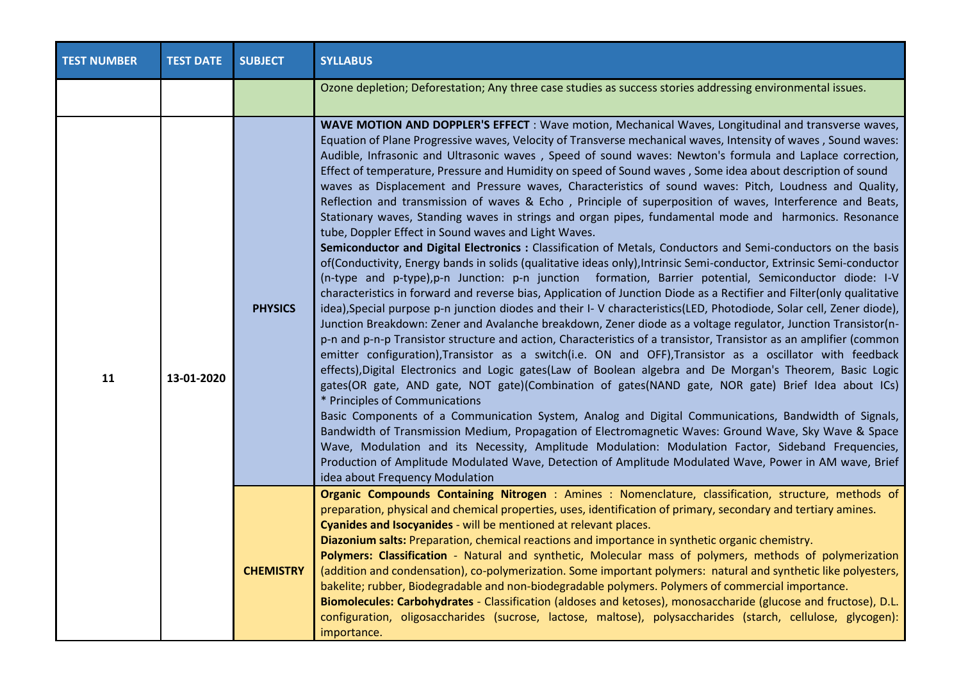| <b>TEST NUMBER</b> | <b>TEST DATE</b> | <b>SUBJECT</b>   | <b>SYLLABUS</b>                                                                                                                                                                                                                                                                                                                                                                                                                                                                                                                                                                                                                                                                                                                                                                                                                                                                                                                                                                                                                                                                                                                                                                                                                                                                                                                                                                                                                                                                                                                                                                                                                                                                                                                                                                                                                                                                                                                                                                                                                                                                                                                                                                                                                                                                                                                                                                                                                                                                                                                    |
|--------------------|------------------|------------------|------------------------------------------------------------------------------------------------------------------------------------------------------------------------------------------------------------------------------------------------------------------------------------------------------------------------------------------------------------------------------------------------------------------------------------------------------------------------------------------------------------------------------------------------------------------------------------------------------------------------------------------------------------------------------------------------------------------------------------------------------------------------------------------------------------------------------------------------------------------------------------------------------------------------------------------------------------------------------------------------------------------------------------------------------------------------------------------------------------------------------------------------------------------------------------------------------------------------------------------------------------------------------------------------------------------------------------------------------------------------------------------------------------------------------------------------------------------------------------------------------------------------------------------------------------------------------------------------------------------------------------------------------------------------------------------------------------------------------------------------------------------------------------------------------------------------------------------------------------------------------------------------------------------------------------------------------------------------------------------------------------------------------------------------------------------------------------------------------------------------------------------------------------------------------------------------------------------------------------------------------------------------------------------------------------------------------------------------------------------------------------------------------------------------------------------------------------------------------------------------------------------------------------|
|                    |                  |                  | Ozone depletion; Deforestation; Any three case studies as success stories addressing environmental issues.                                                                                                                                                                                                                                                                                                                                                                                                                                                                                                                                                                                                                                                                                                                                                                                                                                                                                                                                                                                                                                                                                                                                                                                                                                                                                                                                                                                                                                                                                                                                                                                                                                                                                                                                                                                                                                                                                                                                                                                                                                                                                                                                                                                                                                                                                                                                                                                                                         |
| 11                 | 13-01-2020       | <b>PHYSICS</b>   | <b>WAVE MOTION AND DOPPLER'S EFFECT</b> : Wave motion, Mechanical Waves, Longitudinal and transverse waves,<br>Equation of Plane Progressive waves, Velocity of Transverse mechanical waves, Intensity of waves, Sound waves:<br>Audible, Infrasonic and Ultrasonic waves, Speed of sound waves: Newton's formula and Laplace correction,<br>Effect of temperature, Pressure and Humidity on speed of Sound waves, Some idea about description of sound<br>waves as Displacement and Pressure waves, Characteristics of sound waves: Pitch, Loudness and Quality,<br>Reflection and transmission of waves & Echo, Principle of superposition of waves, Interference and Beats,<br>Stationary waves, Standing waves in strings and organ pipes, fundamental mode and harmonics. Resonance<br>tube, Doppler Effect in Sound waves and Light Waves.<br>Semiconductor and Digital Electronics : Classification of Metals, Conductors and Semi-conductors on the basis<br>of(Conductivity, Energy bands in solids (qualitative ideas only), Intrinsic Semi-conductor, Extrinsic Semi-conductor<br>(n-type and p-type), p-n Junction: p-n junction formation, Barrier potential, Semiconductor diode: I-V<br>characteristics in forward and reverse bias, Application of Junction Diode as a Rectifier and Filter(only qualitative<br>idea), Special purpose p-n junction diodes and their I-V characteristics (LED, Photodiode, Solar cell, Zener diode),<br>Junction Breakdown: Zener and Avalanche breakdown, Zener diode as a voltage regulator, Junction Transistor(n-<br>p-n and p-n-p Transistor structure and action, Characteristics of a transistor, Transistor as an amplifier (common<br>emitter configuration), Transistor as a switch(i.e. ON and OFF), Transistor as a oscillator with feedback<br>effects), Digital Electronics and Logic gates (Law of Boolean algebra and De Morgan's Theorem, Basic Logic<br>gates(OR gate, AND gate, NOT gate)(Combination of gates(NAND gate, NOR gate) Brief Idea about ICs)<br>* Principles of Communications<br>Basic Components of a Communication System, Analog and Digital Communications, Bandwidth of Signals,<br>Bandwidth of Transmission Medium, Propagation of Electromagnetic Waves: Ground Wave, Sky Wave & Space<br>Wave, Modulation and its Necessity, Amplitude Modulation: Modulation Factor, Sideband Frequencies,<br>Production of Amplitude Modulated Wave, Detection of Amplitude Modulated Wave, Power in AM wave, Brief<br>idea about Frequency Modulation |
|                    |                  | <b>CHEMISTRY</b> | Organic Compounds Containing Nitrogen : Amines : Nomenclature, classification, structure, methods of<br>preparation, physical and chemical properties, uses, identification of primary, secondary and tertiary amines.<br>Cyanides and Isocyanides - will be mentioned at relevant places.<br>Diazonium salts: Preparation, chemical reactions and importance in synthetic organic chemistry.<br>Polymers: Classification - Natural and synthetic, Molecular mass of polymers, methods of polymerization<br>(addition and condensation), co-polymerization. Some important polymers: natural and synthetic like polyesters,<br>bakelite; rubber, Biodegradable and non-biodegradable polymers. Polymers of commercial importance.<br>Biomolecules: Carbohydrates - Classification (aldoses and ketoses), monosaccharide (glucose and fructose), D.L.<br>configuration, oligosaccharides (sucrose, lactose, maltose), polysaccharides (starch, cellulose, glycogen):<br>importance.                                                                                                                                                                                                                                                                                                                                                                                                                                                                                                                                                                                                                                                                                                                                                                                                                                                                                                                                                                                                                                                                                                                                                                                                                                                                                                                                                                                                                                                                                                                                                 |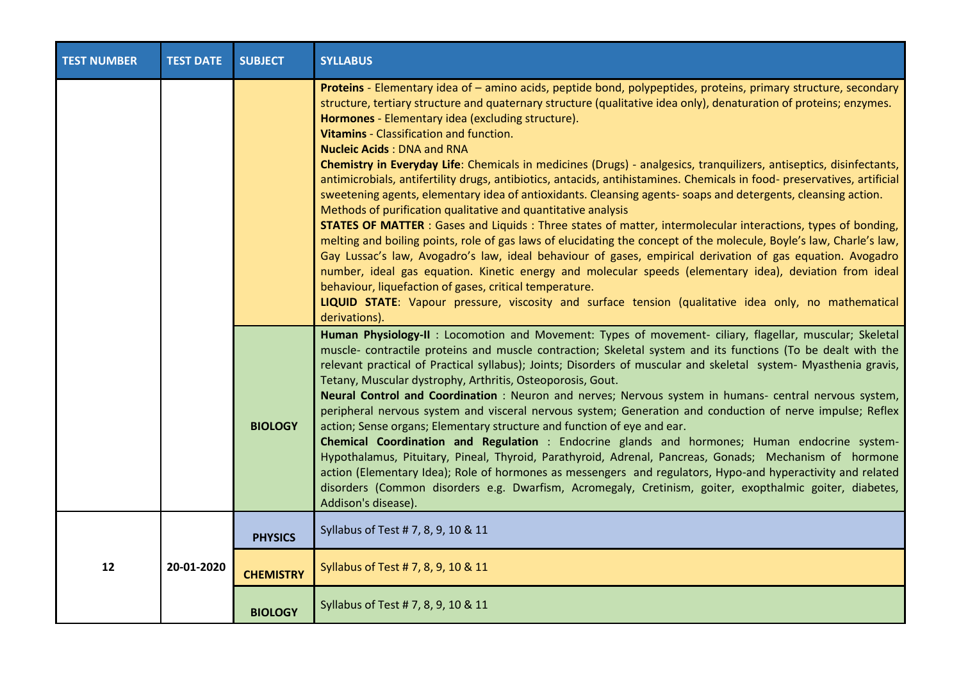| <b>TEST NUMBER</b> | <b>TEST DATE</b> | <b>SUBJECT</b>   | <b>SYLLABUS</b>                                                                                                                                                                                                                                                                                                                                                                                                                                                                                                                                                                                                                                                                                                                                                                                                                                                                                                                                                                                                                                                                                                                                                                                                                                                                                                                                                                                                                                                                   |
|--------------------|------------------|------------------|-----------------------------------------------------------------------------------------------------------------------------------------------------------------------------------------------------------------------------------------------------------------------------------------------------------------------------------------------------------------------------------------------------------------------------------------------------------------------------------------------------------------------------------------------------------------------------------------------------------------------------------------------------------------------------------------------------------------------------------------------------------------------------------------------------------------------------------------------------------------------------------------------------------------------------------------------------------------------------------------------------------------------------------------------------------------------------------------------------------------------------------------------------------------------------------------------------------------------------------------------------------------------------------------------------------------------------------------------------------------------------------------------------------------------------------------------------------------------------------|
|                    |                  |                  | Proteins - Elementary idea of - amino acids, peptide bond, polypeptides, proteins, primary structure, secondary<br>structure, tertiary structure and quaternary structure (qualitative idea only), denaturation of proteins; enzymes.<br>Hormones - Elementary idea (excluding structure).<br><b>Vitamins</b> - Classification and function.<br><b>Nucleic Acids: DNA and RNA</b><br>Chemistry in Everyday Life: Chemicals in medicines (Drugs) - analgesics, tranquilizers, antiseptics, disinfectants,<br>antimicrobials, antifertility drugs, antibiotics, antacids, antihistamines. Chemicals in food- preservatives, artificial<br>sweetening agents, elementary idea of antioxidants. Cleansing agents-soaps and detergents, cleansing action.<br>Methods of purification qualitative and quantitative analysis<br><b>STATES OF MATTER</b> : Gases and Liquids : Three states of matter, intermolecular interactions, types of bonding,<br>melting and boiling points, role of gas laws of elucidating the concept of the molecule, Boyle's law, Charle's law,<br>Gay Lussac's law, Avogadro's law, ideal behaviour of gases, empirical derivation of gas equation. Avogadro<br>number, ideal gas equation. Kinetic energy and molecular speeds (elementary idea), deviation from ideal<br>behaviour, liquefaction of gases, critical temperature.<br>LIQUID STATE: Vapour pressure, viscosity and surface tension (qualitative idea only, no mathematical<br>derivations). |
|                    |                  | <b>BIOLOGY</b>   | Human Physiology-II : Locomotion and Movement: Types of movement- ciliary, flagellar, muscular; Skeletal<br>muscle- contractile proteins and muscle contraction; Skeletal system and its functions (To be dealt with the<br>relevant practical of Practical syllabus); Joints; Disorders of muscular and skeletal system- Myasthenia gravis,<br>Tetany, Muscular dystrophy, Arthritis, Osteoporosis, Gout.<br>Neural Control and Coordination : Neuron and nerves; Nervous system in humans- central nervous system,<br>peripheral nervous system and visceral nervous system; Generation and conduction of nerve impulse; Reflex<br>action; Sense organs; Elementary structure and function of eye and ear.<br>Chemical Coordination and Regulation : Endocrine glands and hormones; Human endocrine system-<br>Hypothalamus, Pituitary, Pineal, Thyroid, Parathyroid, Adrenal, Pancreas, Gonads; Mechanism of hormone<br>action (Elementary Idea); Role of hormones as messengers and regulators, Hypo-and hyperactivity and related<br>disorders (Common disorders e.g. Dwarfism, Acromegaly, Cretinism, goiter, exopthalmic goiter, diabetes,<br>Addison's disease).                                                                                                                                                                                                                                                                                                          |
|                    |                  | <b>PHYSICS</b>   | Syllabus of Test # 7, 8, 9, 10 & 11                                                                                                                                                                                                                                                                                                                                                                                                                                                                                                                                                                                                                                                                                                                                                                                                                                                                                                                                                                                                                                                                                                                                                                                                                                                                                                                                                                                                                                               |
| 12                 | 20-01-2020       | <b>CHEMISTRY</b> | Syllabus of Test # 7, 8, 9, 10 & 11                                                                                                                                                                                                                                                                                                                                                                                                                                                                                                                                                                                                                                                                                                                                                                                                                                                                                                                                                                                                                                                                                                                                                                                                                                                                                                                                                                                                                                               |
|                    |                  | <b>BIOLOGY</b>   | Syllabus of Test # 7, 8, 9, 10 & 11                                                                                                                                                                                                                                                                                                                                                                                                                                                                                                                                                                                                                                                                                                                                                                                                                                                                                                                                                                                                                                                                                                                                                                                                                                                                                                                                                                                                                                               |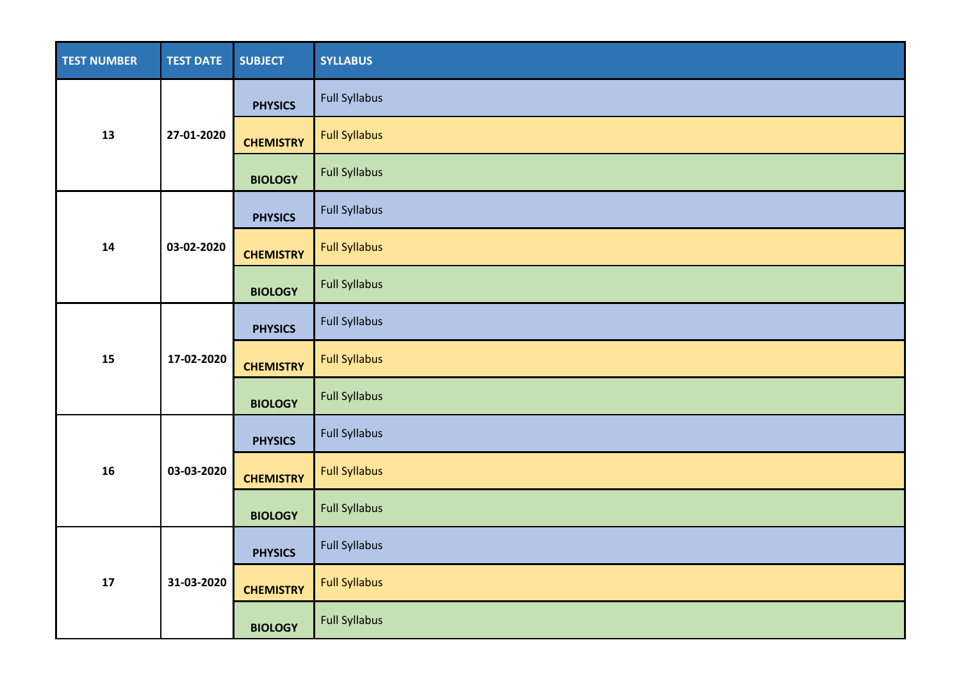| <b>TEST NUMBER</b> | <b>TEST DATE</b> | <b>SUBJECT</b>   | <b>SYLLABUS</b>      |
|--------------------|------------------|------------------|----------------------|
| 13                 | 27-01-2020       | <b>PHYSICS</b>   | <b>Full Syllabus</b> |
|                    |                  | <b>CHEMISTRY</b> | <b>Full Syllabus</b> |
|                    |                  | <b>BIOLOGY</b>   | <b>Full Syllabus</b> |
| ${\bf 14}$         | 03-02-2020       | <b>PHYSICS</b>   | <b>Full Syllabus</b> |
|                    |                  | <b>CHEMISTRY</b> | <b>Full Syllabus</b> |
|                    |                  | <b>BIOLOGY</b>   | <b>Full Syllabus</b> |
| 15                 | 17-02-2020       | <b>PHYSICS</b>   | <b>Full Syllabus</b> |
|                    |                  | <b>CHEMISTRY</b> | <b>Full Syllabus</b> |
|                    |                  | <b>BIOLOGY</b>   | <b>Full Syllabus</b> |
| 16                 | 03-03-2020       | <b>PHYSICS</b>   | <b>Full Syllabus</b> |
|                    |                  | <b>CHEMISTRY</b> | <b>Full Syllabus</b> |
|                    |                  | <b>BIOLOGY</b>   | <b>Full Syllabus</b> |
| ${\bf 17}$         | 31-03-2020       | <b>PHYSICS</b>   | <b>Full Syllabus</b> |
|                    |                  | <b>CHEMISTRY</b> | <b>Full Syllabus</b> |
|                    |                  | <b>BIOLOGY</b>   | <b>Full Syllabus</b> |